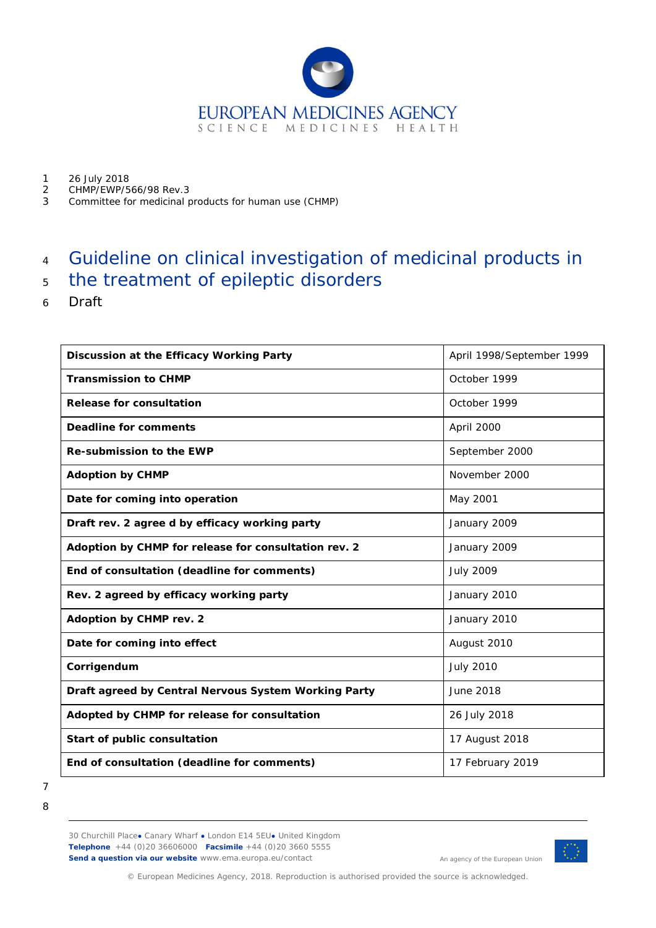

- 1 26 July 2018<br>2 CHMP/FWP/5
- 2 CHMP/EWP/566/98 Rev.3<br>3 Committee for medicinal r
- 3 Committee for medicinal products for human use (CHMP)

# 4 Guideline on clinical investigation of medicinal products in

- <sup>5</sup> the treatment of epileptic disorders
- 6 Draft

| Discussion at the Efficacy Working Party             | April 1998/September 1999 |
|------------------------------------------------------|---------------------------|
| <b>Transmission to CHMP</b>                          | October 1999              |
| <b>Release for consultation</b>                      | October 1999              |
| <b>Deadline for comments</b>                         | April 2000                |
| <b>Re-submission to the EWP</b>                      | September 2000            |
| <b>Adoption by CHMP</b>                              | November 2000             |
| Date for coming into operation                       | May 2001                  |
| Draft rev. 2 agree d by efficacy working party       | January 2009              |
| Adoption by CHMP for release for consultation rev. 2 | January 2009              |
| End of consultation (deadline for comments)          | <b>July 2009</b>          |
| Rev. 2 agreed by efficacy working party              | January 2010              |
| Adoption by CHMP rev. 2                              | January 2010              |
| Date for coming into effect                          | August 2010               |
| Corrigendum                                          | <b>July 2010</b>          |
| Draft agreed by Central Nervous System Working Party | June 2018                 |
| Adopted by CHMP for release for consultation         | 26 July 2018              |
| Start of public consultation                         | 17 August 2018            |
| End of consultation (deadline for comments)          | 17 February 2019          |

<sup>7</sup> 8

30 Churchill Place**●** Canary Wharf **●** London E14 5EU**●** United Kingdom **Telephone** +44 (0)20 36606000 **Facsimile** +44 (0)20 3660 5555 **Send a question via our website** www.ema.europa.eu/contact



An agency of the European Union

© European Medicines Agency, 2018. Reproduction is authorised provided the source is acknowledged.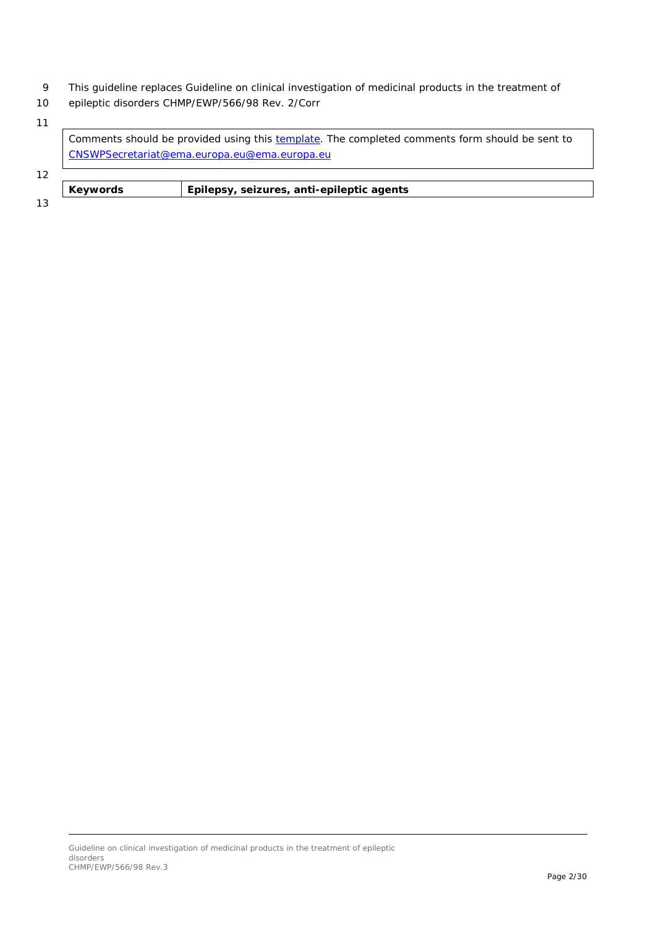- 9 This guideline replaces Guideline on clinical investigation of medicinal products in the treatment of
- 10 epileptic disorders CHMP/EWP/566/98 Rev. 2/Corr

|    | Comments should be provided using this template. The completed comments form should be sent to |                                           |  |  |  |
|----|------------------------------------------------------------------------------------------------|-------------------------------------------|--|--|--|
|    | CNSWPSecretariat@ema.europa.eu@ema.europa.eu                                                   |                                           |  |  |  |
| 12 |                                                                                                |                                           |  |  |  |
|    | <b>Keywords</b>                                                                                | Epilepsy, seizures, anti-epileptic agents |  |  |  |
| 13 |                                                                                                |                                           |  |  |  |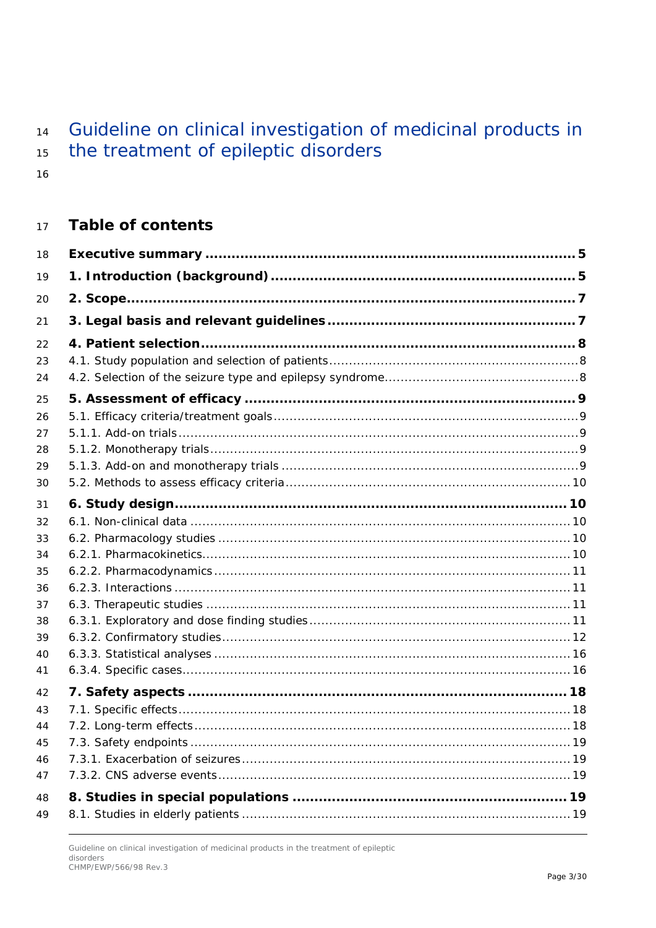#### Guideline on clinical investigation of medicinal products in  $14$ the treatment of epileptic disorders 15

16

#### **Table of contents** 17

| 18 |  |
|----|--|
| 19 |  |
| 20 |  |
| 21 |  |
| 22 |  |
| 23 |  |
| 24 |  |
| 25 |  |
| 26 |  |
| 27 |  |
| 28 |  |
| 29 |  |
| 30 |  |
| 31 |  |
| 32 |  |
| 33 |  |
| 34 |  |
| 35 |  |
| 36 |  |
| 37 |  |
| 38 |  |
| 39 |  |
| 40 |  |
| 41 |  |
| 42 |  |
| 43 |  |
| 44 |  |
| 45 |  |
| 46 |  |
| 47 |  |
| 48 |  |
| 49 |  |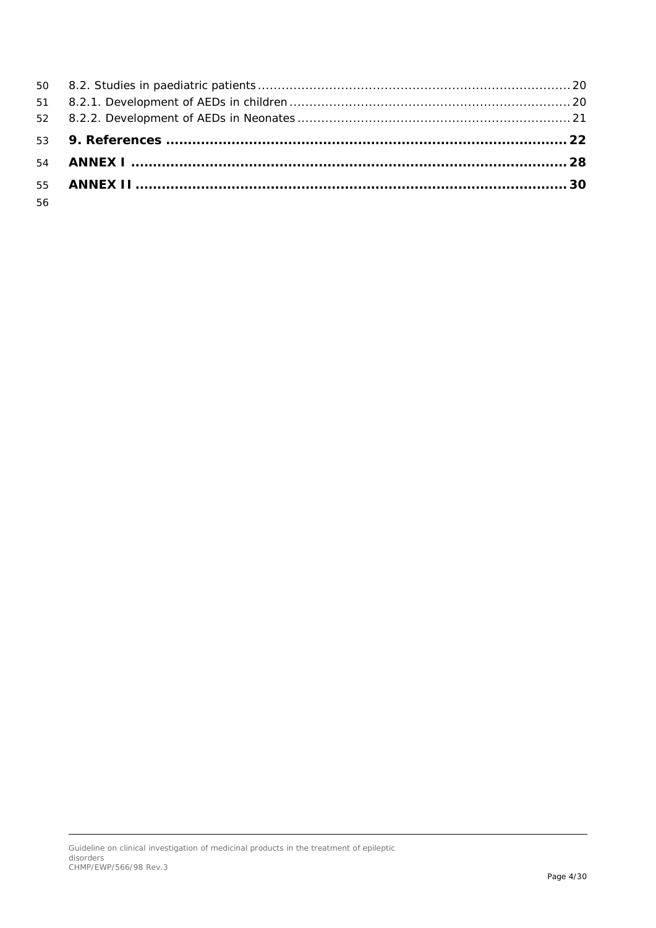| 56 |  |
|----|--|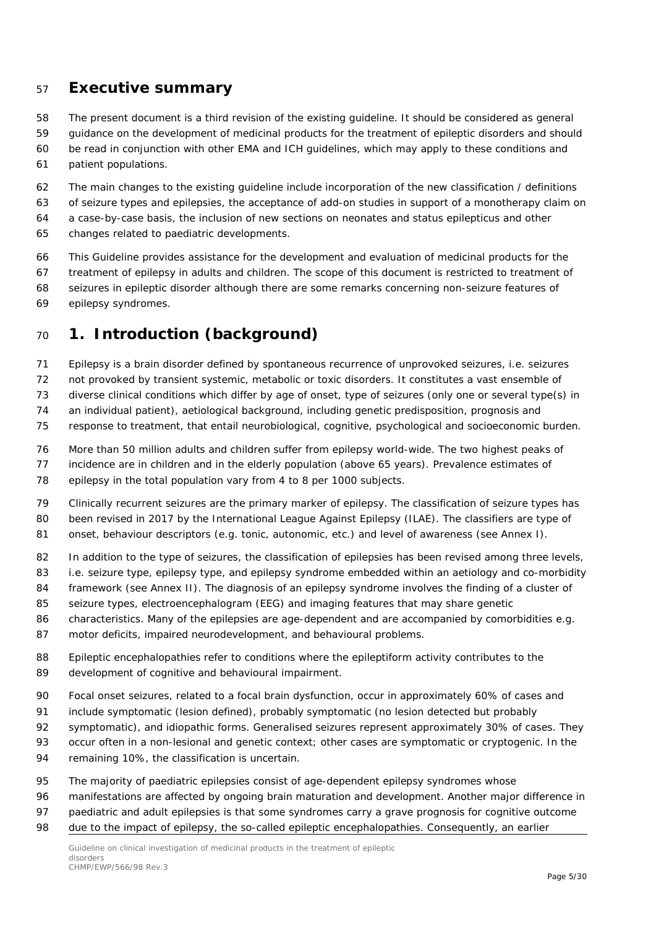### <span id="page-4-0"></span>**Executive summary**

 The present document is a third revision of the existing guideline. It should be considered as general guidance on the development of medicinal products for the treatment of epileptic disorders and should

- be read in conjunction with other EMA and ICH guidelines, which may apply to these conditions and patient populations.
- The main changes to the existing guideline include incorporation of the new classification / definitions of seizure types and epilepsies, the acceptance of add-on studies in support of a monotherapy claim on a case-by-case basis, the inclusion of new sections on neonates and status epilepticus and other
- changes related to paediatric developments.
- This Guideline provides assistance for the development and evaluation of medicinal products for the
- treatment of epilepsy in adults and children. The scope of this document is restricted to treatment of
- seizures in epileptic disorder although there are some remarks concerning non-seizure features of epilepsy syndromes.
- <span id="page-4-1"></span>**1. Introduction (background)**
- Epilepsy is a brain disorder defined by spontaneous recurrence of unprovoked seizures, i.e. seizures
- not provoked by transient systemic, metabolic or toxic disorders. It constitutes a vast ensemble of
- diverse clinical conditions which differ by age of onset, type of seizures (only one or several type(s) in
- an individual patient), aetiological background, including genetic predisposition, prognosis and
- response to treatment, that entail neurobiological, cognitive, psychological and socioeconomic burden.
- More than 50 million adults and children suffer from epilepsy world-wide. The two highest peaks of
- incidence are in children and in the elderly population (above 65 years). Prevalence estimates of
- epilepsy in the total population vary from 4 to 8 per 1000 subjects.
- Clinically recurrent seizures are the primary marker of epilepsy. The classification of seizure types has
- been revised in 2017 by the International League Against Epilepsy (ILAE). The classifiers are type of
- 81 onset, behaviour descriptors (e.g. tonic, autonomic, etc.) and level of awareness (see Annex I).
- 82 In addition to the type of seizures, the classification of epilepsies has been revised among three levels,
- i.e. seizure type, epilepsy type, and epilepsy syndrome embedded within an aetiology and co-morbidity
- framework (see Annex II). The diagnosis of an epilepsy syndrome involves the finding of a cluster of
- seizure types, electroencephalogram (EEG) and imaging features that may share genetic
- characteristics. Many of the epilepsies are age-dependent and are accompanied by comorbidities e.g.
- motor deficits, impaired neurodevelopment, and behavioural problems.
- 88 Epileptic encephalopathies refer to conditions where the epileptiform activity contributes to the development of cognitive and behavioural impairment.
- Focal onset seizures, related to a focal brain dysfunction, occur in approximately 60% of cases and
- include symptomatic (lesion defined), probably symptomatic (no lesion detected but probably
- symptomatic), and idiopathic forms. Generalised seizures represent approximately 30% of cases. They
- occur often in a non-lesional and genetic context; other cases are symptomatic or cryptogenic. In the
- remaining 10%, the classification is uncertain.
- The majority of paediatric epilepsies consist of age-dependent epilepsy syndromes whose
- manifestations are affected by ongoing brain maturation and development. Another major difference in
- paediatric and adult epilepsies is that some syndromes carry a grave prognosis for cognitive outcome
- 98 due to the impact of epilepsy, the so-called epileptic encephalopathies. Consequently, an earlier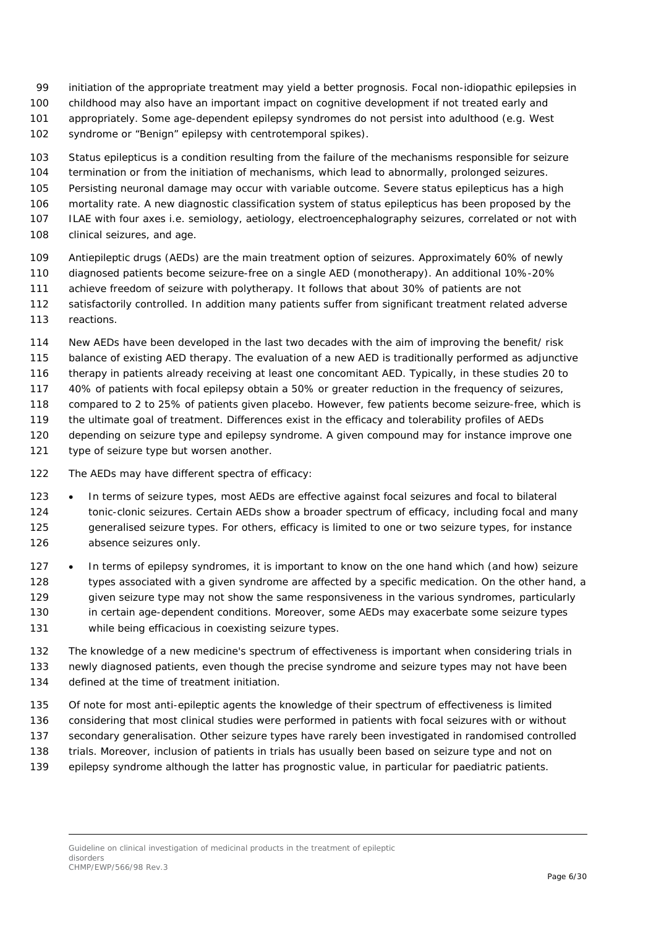- initiation of the appropriate treatment may yield a better prognosis. Focal non-idiopathic epilepsies in
- childhood may also have an important impact on cognitive development if not treated early and
- appropriately. Some age-dependent epilepsy syndromes do not persist into adulthood (e.g. West
- syndrome or "Benign" epilepsy with centrotemporal spikes).
- Status epilepticus is a condition resulting from the failure of the mechanisms responsible for seizure
- termination or from the initiation of mechanisms, which lead to abnormally, prolonged seizures.
- Persisting neuronal damage may occur with variable outcome. Severe status epilepticus has a high
- mortality rate. A new diagnostic classification system of status epilepticus has been proposed by the
- ILAE with four axes i.e. semiology, aetiology, electroencephalography seizures, correlated or not with
- 108 clinical seizures, and age.
- Antiepileptic drugs (AEDs) are the main treatment option of seizures. Approximately 60% of newly
- diagnosed patients become seizure-free on a single AED (monotherapy). An additional 10%-20%
- achieve freedom of seizure with polytherapy. It follows that about 30% of patients are not
- satisfactorily controlled. In addition many patients suffer from significant treatment related adverse
- reactions.
- New AEDs have been developed in the last two decades with the aim of improving the benefit/ risk
- balance of existing AED therapy. The evaluation of a new AED is traditionally performed as adjunctive
- therapy in patients already receiving at least one concomitant AED. Typically, in these studies 20 to
- 40% of patients with focal epilepsy obtain a 50% or greater reduction in the frequency of seizures,
- compared to 2 to 25% of patients given placebo. However, few patients become seizure-free, which is
- the ultimate goal of treatment. Differences exist in the efficacy and tolerability profiles of AEDs
- depending on seizure type and epilepsy syndrome. A given compound may for instance improve one
- type of seizure type but worsen another.
- The AEDs may have different spectra of efficacy:
- In terms of seizure types, most AEDs are effective against focal seizures and focal to bilateral 124 tonic-clonic seizures. Certain AEDs show a broader spectrum of efficacy, including focal and many generalised seizure types. For others, efficacy is limited to one or two seizure types, for instance absence seizures only.
- 127 In terms of epilepsy syndromes, it is important to know on the one hand which (and how) seizure 128 types associated with a given syndrome are affected by a specific medication. On the other hand, a given seizure type may not show the same responsiveness in the various syndromes, particularly in certain age-dependent conditions. Moreover, some AEDs may exacerbate some seizure types while being efficacious in coexisting seizure types.
- The knowledge of a new medicine's spectrum of effectiveness is important when considering trials in newly diagnosed patients, even though the precise syndrome and seizure types may not have been defined at the time of treatment initiation.
- Of note for most anti-epileptic agents the knowledge of their spectrum of effectiveness is limited considering that most clinical studies were performed in patients with focal seizures with or without
- secondary generalisation. Other seizure types have rarely been investigated in randomised controlled
- trials. Moreover, inclusion of patients in trials has usually been based on seizure type and not on
- epilepsy syndrome although the latter has prognostic value, in particular for paediatric patients.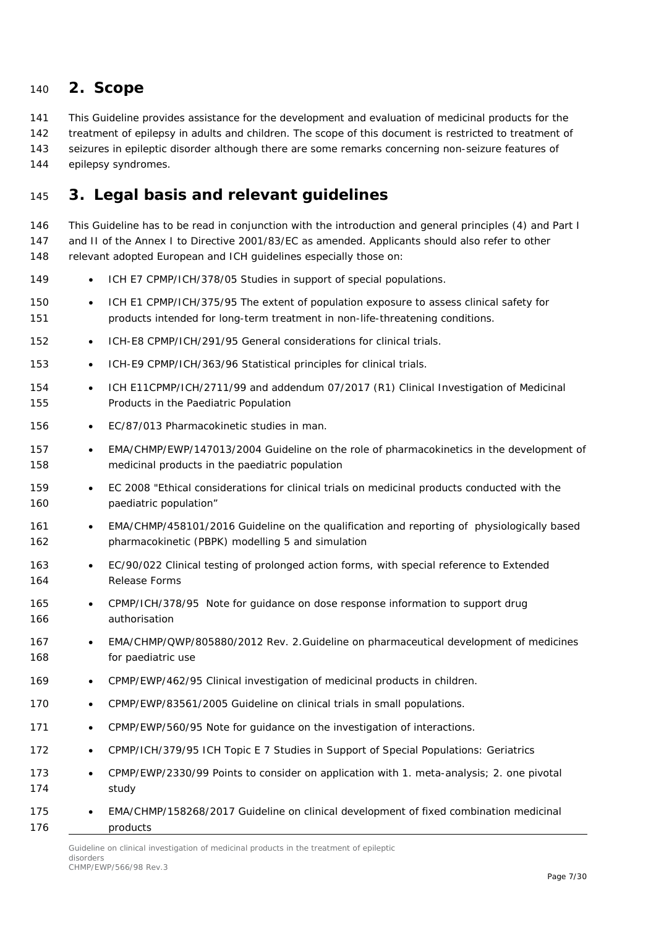### <span id="page-6-0"></span>**2. Scope**

This Guideline provides assistance for the development and evaluation of medicinal products for the

142 treatment of epilepsy in adults and children. The scope of this document is restricted to treatment of

seizures in epileptic disorder although there are some remarks concerning non-seizure features of

epilepsy syndromes.

## <span id="page-6-1"></span>**3. Legal basis and relevant guidelines**

 This Guideline has to be read in conjunction with the introduction and general principles (4) and Part I and II of the Annex I to Directive 2001/83/EC as amended. Applicants should also refer to other 148 relevant adopted European and ICH guidelines especially those on:

- 149 ICH E7 CPMP/ICH/378/05 Studies in support of special populations.
- ICH E1 CPMP/ICH/375/95 The extent of population exposure to assess clinical safety for products intended for long-term treatment in non-life-threatening conditions.
- ICH-E8 CPMP/ICH/291/95 General considerations for clinical trials.
- ICH-E9 CPMP/ICH/363/96 Statistical principles for clinical trials.
- ICH E11CPMP/ICH/2711/99 and addendum 07/2017 (R1) Clinical Investigation of Medicinal Products in the Paediatric Population
- 156 EC/87/013 Pharmacokinetic studies in man.
- 157 EMA/CHMP/EWP/147013/2004 Guideline on the role of pharmacokinetics in the development of medicinal products in the paediatric population
- EC 2008 "Ethical considerations for clinical trials on medicinal products conducted with the **paediatric population**"
- EMA/CHMP/458101/2016 Guideline on the qualification and reporting of physiologically based pharmacokinetic (PBPK) modelling 5 and simulation
- EC/90/022 Clinical testing of prolonged action forms, with special reference to Extended Release Forms
- CPMP/ICH/378/95 Note for guidance on dose response information to support drug authorisation
- 167 EMA/CHMP/QWP/805880/2012 Rev. 2.Guideline on pharmaceutical development of medicines for paediatric use
- CPMP/EWP/462/95 Clinical investigation of medicinal products in children.
- 170 CPMP/EWP/83561/2005 Guideline on clinical trials in small populations.
- 171 CPMP/EWP/560/95 Note for guidance on the investigation of interactions.
- CPMP/ICH/379/95 ICH Topic E 7 Studies in Support of Special Populations: Geriatrics
- CPMP/EWP/2330/99 Points to consider on application with 1. meta-analysis; 2. one pivotal study
- EMA/CHMP/158268/2017 Guideline on clinical development of fixed combination medicinal products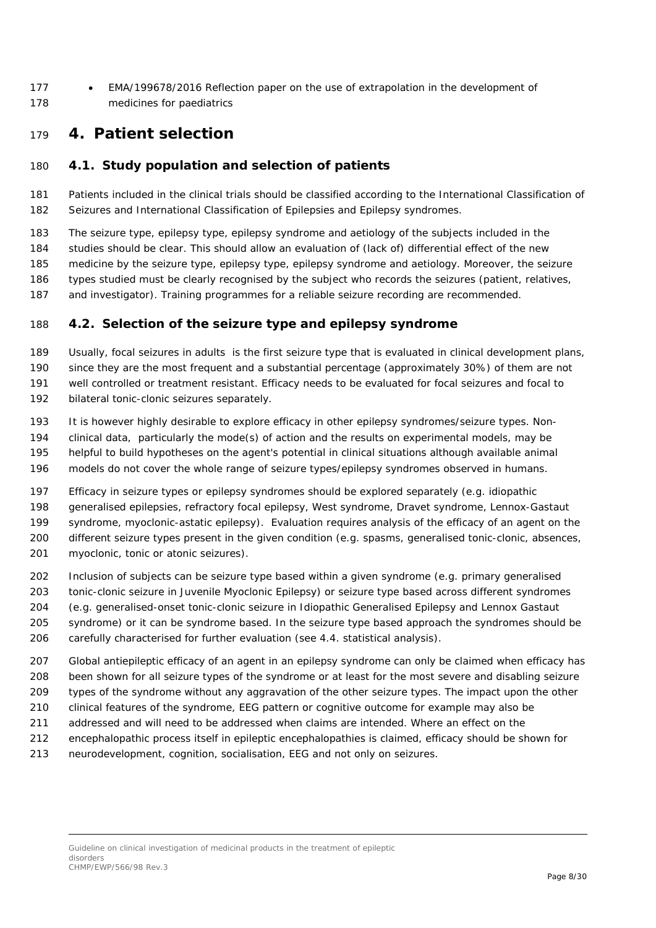• EMA/199678/2016 Reflection paper on the use of extrapolation in the development of medicines for paediatrics

### <span id="page-7-0"></span>**4. Patient selection**

#### <span id="page-7-1"></span>*4.1. Study population and selection of patients*

 Patients included in the clinical trials should be classified according to the International Classification of Seizures and International Classification of Epilepsies and Epilepsy syndromes.

 The seizure type, epilepsy type, epilepsy syndrome and aetiology of the subjects included in the studies should be clear. This should allow an evaluation of (lack of) differential effect of the new medicine by the seizure type, epilepsy type, epilepsy syndrome and aetiology. Moreover, the seizure types studied must be clearly recognised by the subject who records the seizures (patient, relatives, and investigator). Training programmes for a reliable seizure recording are recommended.

#### <span id="page-7-2"></span>*4.2. Selection of the seizure type and epilepsy syndrome*

 Usually, focal seizures in adults is the first seizure type that is evaluated in clinical development plans, since they are the most frequent and a substantial percentage (approximately 30%) of them are not well controlled or treatment resistant. Efficacy needs to be evaluated for focal seizures and focal to

- bilateral tonic-clonic seizures separately.
- It is however highly desirable to explore efficacy in other epilepsy syndromes/seizure types. Non-
- clinical data, particularly the mode(s) of action and the results on experimental models, may be
- helpful to build hypotheses on the agent's potential in clinical situations although available animal
- models do not cover the whole range of seizure types/epilepsy syndromes observed in humans.

 Efficacy in seizure types or epilepsy syndromes should be explored separately (e.g. idiopathic generalised epilepsies, refractory focal epilepsy, West syndrome, Dravet syndrome, Lennox-Gastaut syndrome, myoclonic-astatic epilepsy). Evaluation requires analysis of the efficacy of an agent on the different seizure types present in the given condition (e.g. spasms, generalised tonic-clonic, absences, myoclonic, tonic or atonic seizures).

- Inclusion of subjects can be seizure type based within a given syndrome (e.g. primary generalised
- tonic-clonic seizure in Juvenile Myoclonic Epilepsy) or seizure type based across different syndromes
- (e.g. generalised-onset tonic-clonic seizure in Idiopathic Generalised Epilepsy and Lennox Gastaut syndrome) or it can be syndrome based. In the seizure type based approach the syndromes should be
- carefully characterised for further evaluation (see 4.4. statistical analysis).
- Global antiepileptic efficacy of an agent in an epilepsy syndrome can only be claimed when efficacy has been shown for all seizure types of the syndrome or at least for the most severe and disabling seizure
- types of the syndrome without any aggravation of the other seizure types. The impact upon the other
- clinical features of the syndrome, EEG pattern or cognitive outcome for example may also be
- addressed and will need to be addressed when claims are intended. Where an effect on the
- encephalopathic process itself in epileptic encephalopathies is claimed, efficacy should be shown for
- neurodevelopment, cognition, socialisation, EEG and not only on seizures.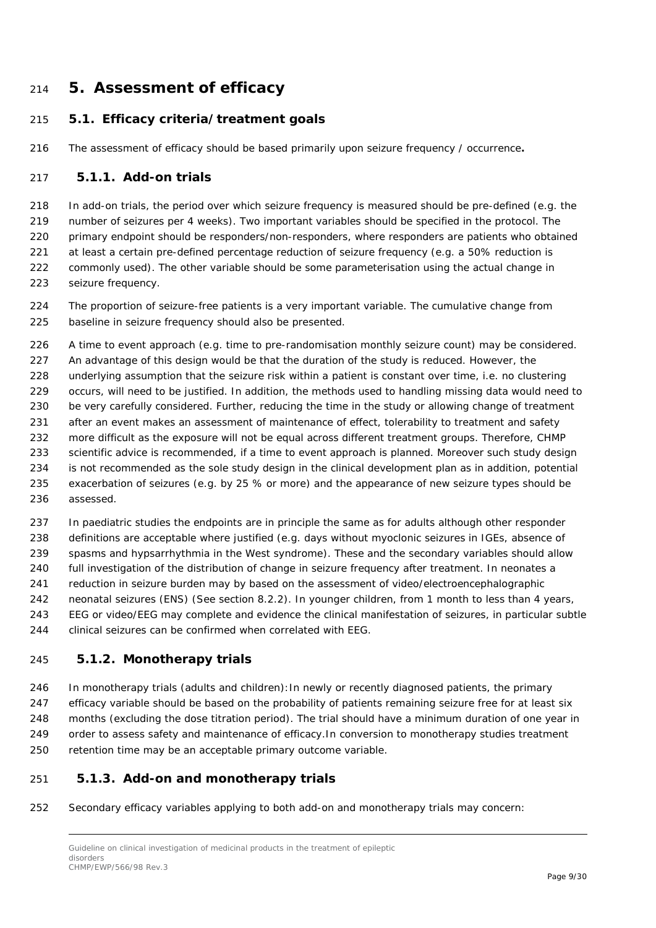### <span id="page-8-0"></span>**5. Assessment of efficacy**

#### <span id="page-8-1"></span>*5.1. Efficacy criteria/treatment goals*

The assessment of efficacy should be based primarily upon seizure frequency / occurrence**.**

#### <span id="page-8-2"></span>**5.1.1. Add-on trials**

 In add-on trials, the period over which seizure frequency is measured should be pre-defined (e.g. the number o*f* seizures per 4 weeks). Two important variables should be specified in the protocol. The primary endpoint should be responders/non-responders, where responders are patients who obtained 221 at least a certain pre-defined percentage reduction of seizure frequency (e.g. a 50% reduction is commonly used). The other variable should be some parameterisation using the actual change in seizure frequency.

 The proportion of seizure-free patients is a very important variable. The cumulative change from baseline in seizure frequency should also be presented.

 A time to event approach (e.g. time to pre-randomisation monthly seizure count) may be considered. 227 An advantage of this design would be that the duration of the study is reduced. However, the underlying assumption that the seizure risk within a patient is constant over time, i.e. no clustering occurs, will need to be justified. In addition, the methods used to handling missing data would need to 230 be very carefully considered. Further, reducing the time in the study or allowing change of treatment 231 after an event makes an assessment of maintenance of effect, tolerability to treatment and safety more difficult as the exposure will not be equal across different treatment groups. Therefore, CHMP scientific advice is recommended, if a time to event approach is planned. Moreover such study design is not recommended as the sole study design in the clinical development plan as in addition, potential exacerbation of seizures (e.g. by 25 % or more) and the appearance of new seizure types should be assessed.

 In paediatric studies the endpoints are in principle the same as for adults although other responder definitions are acceptable where justified (e.g. days without myoclonic seizures in IGEs, absence of spasms and hypsarrhythmia in the West syndrome). These and the secondary variables should allow full investigation of the distribution of change in seizure frequency after treatment. In neonates a reduction in seizure burden may by based on the assessment of video/electroencephalographic neonatal seizures (ENS) (See section 8.2.2). In younger children, from 1 month to less than 4 years, EEG or video/EEG may complete and evidence the clinical manifestation of seizures, in particular subtle clinical seizures can be confirmed when correlated with EEG.

#### <span id="page-8-3"></span>**5.1.2. Monotherapy trials**

 In monotherapy trials (adults and children):In newly or recently diagnosed patients, the primary efficacy variable should be based on the probability of patients remaining seizure free for at least six months (excluding the dose titration period). The trial should have a minimum duration of one year in order to assess safety and maintenance of efficacy.In conversion to monotherapy studies treatment

- retention time may be an acceptable primary outcome variable.
- <span id="page-8-4"></span>**5.1.3. Add-on and monotherapy trials**
- Secondary efficacy variables applying to both add-on and monotherapy trials may concern: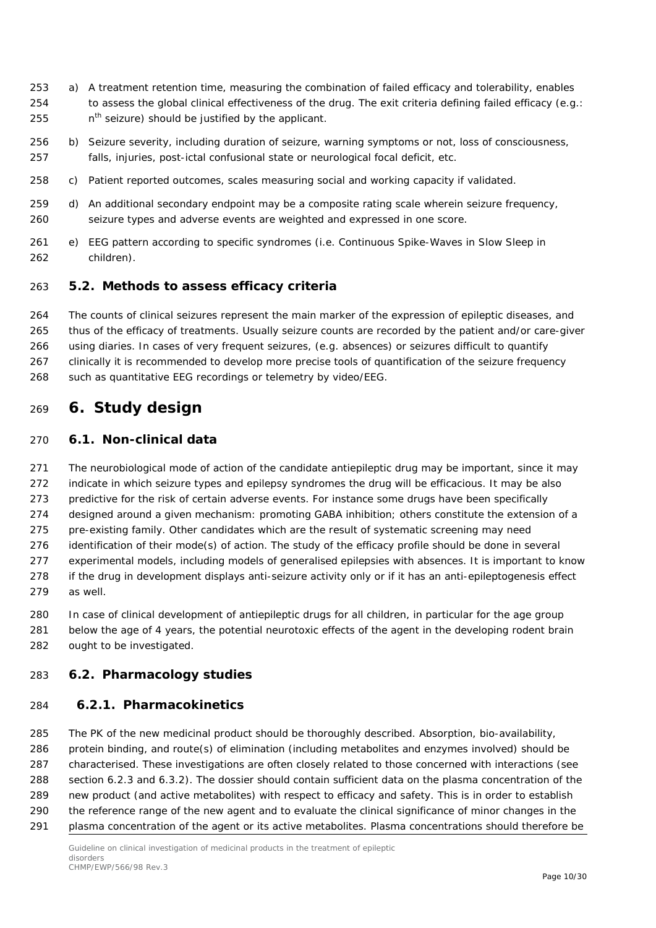- a) A treatment retention time, measuring the combination of failed efficacy and tolerability, enables to assess the global clinical effectiveness of the drug. The exit criteria defining failed efficacy (e.g.: 255  $n^{th}$  seizure) should be justified by the applicant.
- b) Seizure severity, including duration of seizure, warning symptoms or not, loss of consciousness, falls, injuries, post-ictal confusional state or neurological focal deficit, etc.
- c) Patient reported outcomes, scales measuring social and working capacity if validated.
- d) An additional secondary endpoint may be a composite rating scale wherein seizure frequency, seizure types and adverse events are weighted and expressed in one score.
- e) EEG pattern according to specific syndromes (i.e. Continuous Spike-Waves in Slow Sleep in children).

#### <span id="page-9-0"></span>*5.2. Methods to assess efficacy criteria*

 The counts of clinical seizures represent the main marker of the expression of epileptic diseases, and thus of the efficacy of treatments. Usually seizure counts are recorded by the patient and/or care-giver using diaries. In cases of very frequent seizures, (e.g. absences) or seizures difficult to quantify clinically it is recommended to develop more precise tools of quantification of the seizure frequency

such as quantitative EEG recordings or telemetry by video/EEG.

### <span id="page-9-1"></span>**6. Study design**

#### <span id="page-9-2"></span>*6.1. Non-clinical data*

 The neurobiological mode of action of the candidate antiepileptic drug may be important, since it may indicate in which seizure types and epilepsy syndromes the drug will be efficacious. It may be also predictive for the risk of certain adverse events. For instance some drugs have been specifically designed around a given mechanism: promoting GABA inhibition; others constitute the extension of a pre-existing family. Other candidates which are the result of systematic screening may need identification of their mode(s) of action. The study of the efficacy profile should be done in several experimental models, including models of generalised epilepsies with absences. It is important to know if the drug in development displays anti-seizure activity only or if it has an anti-epileptogenesis effect as well.

 In case of clinical development of antiepileptic drugs for all children, in particular for the age group below the age of 4 years, the potential neurotoxic effects of the agent in the developing rodent brain ought to be investigated.

#### <span id="page-9-3"></span>*6.2. Pharmacology studies*

#### <span id="page-9-4"></span>**6.2.1. Pharmacokinetics**

 The PK of the new medicinal product should be thoroughly described. Absorption, bio-availability, protein binding, and route(s) of elimination (including metabolites and enzymes involved) should be characterised. These investigations are often closely related to those concerned with interactions (see section 6.2.3 and 6.3.2). The dossier should contain sufficient data on the plasma concentration of the new product (and active metabolites) with respect to efficacy and safety. This is in order to establish the reference range of the new agent and to evaluate the clinical significance of minor changes in the plasma concentration of the agent or its active metabolites. Plasma concentrations should therefore be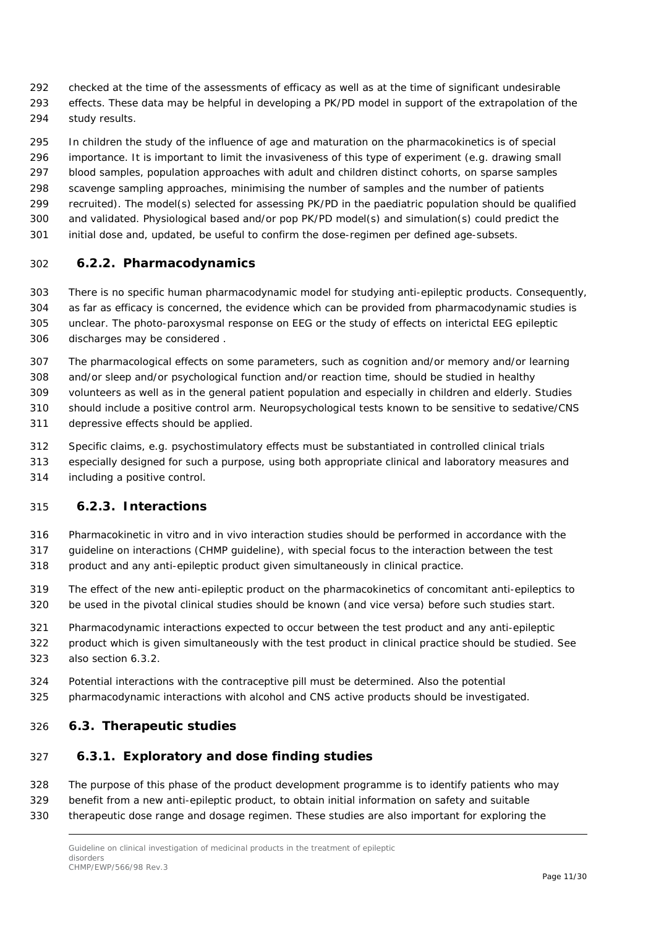- checked at the time of the assessments of efficacy as well as at the time of significant undesirable
- effects. These data may be helpful in developing a PK/PD model in support of the extrapolation of the study results.
- In children the study of the influence of age and maturation on the pharmacokinetics is of special importance. It is important to limit the invasiveness of this type of experiment (e.g. drawing small blood samples, population approaches with adult and children distinct cohorts, on sparse samples scavenge sampling approaches, minimising the number of samples and the number of patients recruited). The model(s) selected for assessing PK/PD in the paediatric population should be qualified and validated. Physiological based and/or pop PK/PD model(s) and simulation(s) could predict the initial dose and, updated, be useful to confirm the dose-regimen per defined age-subsets.

#### <span id="page-10-0"></span>**6.2.2. Pharmacodynamics**

- There is no specific human pharmacodynamic model for studying anti-epileptic products. Consequently, as far as efficacy is concerned, the evidence which can be provided from pharmacodynamic studies is unclear. The photo-paroxysmal response on EEG or the study of effects on interictal EEG epileptic discharges may be considered .
- The pharmacological effects on some parameters, such as cognition and/or memory and/or learning and/or sleep and/or psychological function and/or reaction time, should be studied in healthy volunteers as well as in the general patient population and especially in children and elderly. Studies should include a positive control arm. Neuropsychological tests known to be sensitive to sedative/CNS depressive effects should be applied.
- Specific claims, e.g. psychostimulatory effects must be substantiated in controlled clinical trials
- especially designed for such a purpose, using both appropriate clinical and laboratory measures and
- including a positive control.

#### <span id="page-10-1"></span>**6.2.3. Interactions**

- Pharmacokinetic in vitro and in vivo interaction studies should be performed in accordance with the
- guideline on interactions (CHMP guideline), with special focus to the interaction between the test
- product and any anti-epileptic product given simultaneously in clinical practice.
- The effect of the new anti-epileptic product on the pharmacokinetics of concomitant anti-epileptics to be used in the pivotal clinical studies should be known (and vice versa) before such studies start.
- Pharmacodynamic interactions expected to occur between the test product and any anti-epileptic
- product which is given simultaneously with the test product in clinical practice should be studied. See also section 6.3.2.
- Potential interactions with the contraceptive pill must be determined. Also the potential
- pharmacodynamic interactions with alcohol and CNS active products should be investigated.

#### <span id="page-10-2"></span>*6.3. Therapeutic studies*

#### <span id="page-10-3"></span>**6.3.1. Exploratory and dose finding studies**

- The purpose of this phase of the product development programme is to identify patients who may
- benefit from a new anti-epileptic product, to obtain initial information on safety and suitable
- therapeutic dose range and dosage regimen. These studies are also important for exploring the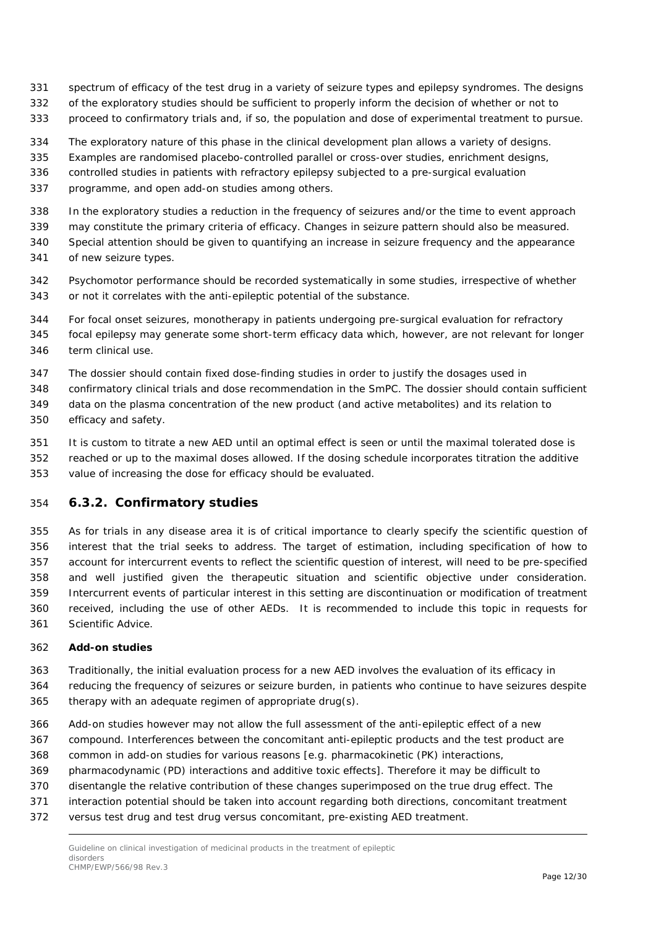- spectrum of efficacy of the test drug in a variety of seizure types and epilepsy syndromes. The designs
- of the exploratory studies should be sufficient to properly inform the decision of whether or not to
- proceed to confirmatory trials and, if so, the population and dose of experimental treatment to pursue.
- The exploratory nature of this phase in the clinical development plan allows a variety of designs.
- Examples are randomised placebo-controlled parallel or cross-over studies, enrichment designs,
- controlled studies in patients with refractory epilepsy subjected to a pre-surgical evaluation
- programme, and open add-on studies among others.
- In the exploratory studies a reduction in the frequency of seizures and/or the time to event approach
- may constitute the primary criteria of efficacy. Changes in seizure pattern should also be measured.
- Special attention should be given to quantifying an increase in seizure frequency and the appearance of new seizure types.
- Psychomotor performance should be recorded systematically in some studies, irrespective of whether or not it correlates with the anti-epileptic potential of the substance.
- For focal onset seizures, monotherapy in patients undergoing pre-surgical evaluation for refractory
- focal epilepsy may generate some short-term efficacy data which, however, are not relevant for longer term clinical use.
- The dossier should contain fixed dose-finding studies in order to justify the dosages used in
- confirmatory clinical trials and dose recommendation in the SmPC. The dossier should contain sufficient
- data on the plasma concentration of the new product (and active metabolites) and its relation to efficacy and safety.
- It is custom to titrate a new AED until an optimal effect is seen or until the maximal tolerated dose is
- reached or up to the maximal doses allowed. If the dosing schedule incorporates titration the additive value of increasing the dose for efficacy should be evaluated.

#### <span id="page-11-0"></span>**6.3.2. Confirmatory studies**

 As for trials in any disease area it is of critical importance to clearly specify the scientific question of interest that the trial seeks to address. The target of estimation, including specification of how to account for intercurrent events to reflect the scientific question of interest, will need to be pre-specified and well justified given the therapeutic situation and scientific objective under consideration. Intercurrent events of particular interest in this setting are discontinuation or modification of treatment received, including the use of other AEDs. It is recommended to include this topic in requests for Scientific Advice.

#### **Add-on studies**

- Traditionally, the initial evaluation process for a new AED involves the evaluation of its efficacy in reducing the frequency of seizures or seizure burden, in patients who continue to have seizures despite therapy with an adequate regimen of appropriate drug(s).
- Add-on studies however may not allow the full assessment of the anti-epileptic effect of a new
- compound. Interferences between the concomitant anti-epileptic products and the test product are
- common in add-on studies for various reasons [e.g. pharmacokinetic (PK) interactions,
- pharmacodynamic (PD) interactions and additive toxic effects]. Therefore it may be difficult to
- disentangle the relative contribution of these changes superimposed on the true drug effect. The
- interaction potential should be taken into account regarding both directions, concomitant treatment
- versus test drug and test drug versus concomitant, pre-existing AED treatment.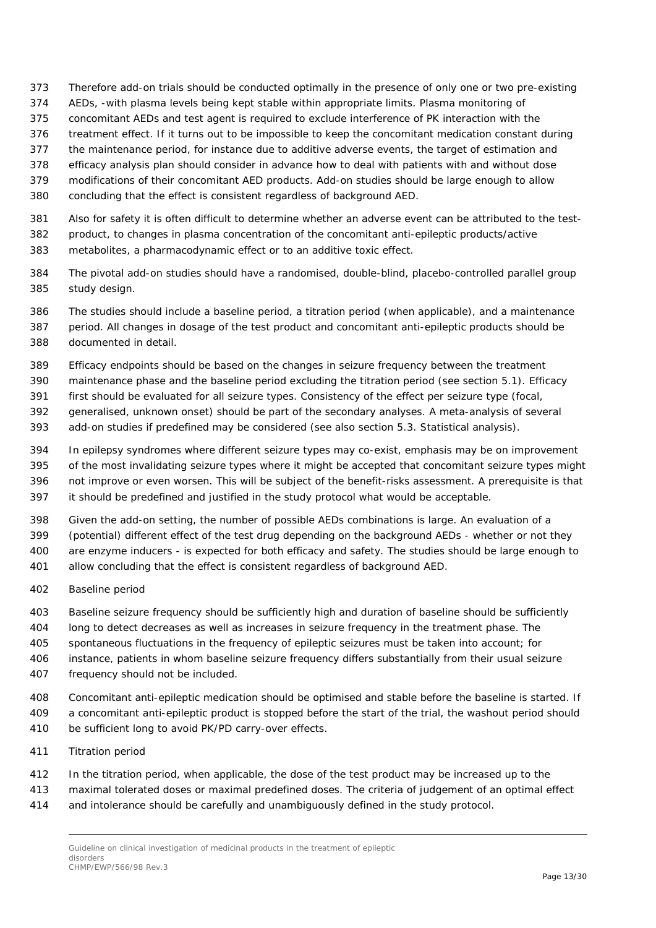- Therefore add-on trials should be conducted optimally in the presence of only one or two pre-existing
- AEDs, -with plasma levels being kept stable within appropriate limits. Plasma monitoring of
- concomitant AEDs and test agent is required to exclude interference of PK interaction with the
- treatment effect. If it turns out to be impossible to keep the concomitant medication constant during
- the maintenance period, for instance due to additive adverse events, the target of estimation and
- efficacy analysis plan should consider in advance how to deal with patients with and without dose
- modifications of their concomitant AED products. Add-on studies should be large enough to allow
- concluding that the effect is consistent regardless of background AED.
- Also for safety it is often difficult to determine whether an adverse event can be attributed to the test-
- product, to changes in plasma concentration of the concomitant anti-epileptic products/active
- metabolites, a pharmacodynamic effect or to an additive toxic effect.
- The pivotal add-on studies should have a randomised, double-blind, placebo-controlled parallel group study design.
- The studies should include a baseline period, a titration period (when applicable), and a maintenance period. All changes in dosage of the test product and concomitant anti-epileptic products should be
- documented in detail.
- Efficacy endpoints should be based on the changes in seizure frequency between the treatment
- maintenance phase and the baseline period excluding the titration period (see section 5.1). Efficacy
- first should be evaluated for all seizure types. Consistency of the effect per seizure type (focal,
- generalised, unknown onset) should be part of the secondary analyses. A meta-analysis of several
- add-on studies if predefined may be considered (see also section 5.3. Statistical analysis).
- In epilepsy syndromes where different seizure types may co-exist, emphasis may be on improvement
- of the most invalidating seizure types where it might be accepted that concomitant seizure types might
- not improve or even worsen. This will be subject of the benefit-risks assessment. A prerequisite is that
- it should be predefined and justified in the study protocol what would be acceptable.
- Given the add-on setting, the number of possible AEDs combinations is large. An evaluation of a
- (potential) different effect of the test drug depending on the background AEDs whether or not they are enzyme inducers - is expected for both efficacy and safety. The studies should be large enough to
- allow concluding that the effect is consistent regardless of background AED.
- *Baseline period*
- Baseline seizure frequency should be sufficiently high and duration of baseline should be sufficiently
- long to detect decreases as well as increases in seizure frequency in the treatment phase. The
- spontaneous fluctuations in the frequency of epileptic seizures must be taken into account; for
- instance, patients in whom baseline seizure frequency differs substantially from their usual seizure
- frequency should not be included.
- Concomitant anti-epileptic medication should be optimised and stable before the baseline is started. If a concomitant anti-epileptic product is stopped before the start of the trial, the washout period should
- be sufficient long to avoid PK/PD carry-over effects.
- *Titration period*
- In the titration period, when applicable, the dose of the test product may be increased up to the
- maximal tolerated doses or maximal predefined doses. The criteria of judgement of an optimal effect
- and intolerance should be carefully and unambiguously defined in the study protocol.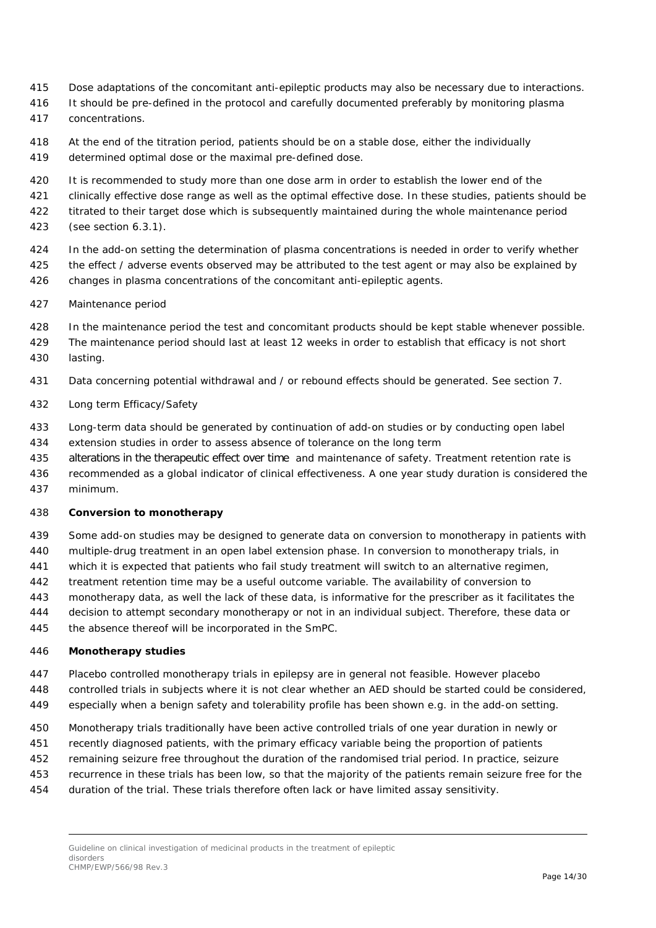- Dose adaptations of the concomitant anti-epileptic products may also be necessary due to interactions.
- 416 It should be pre-defined in the protocol and carefully documented preferably by monitoring plasma
- concentrations.
- At the end of the titration period, patients should be on a stable dose, either the individually
- determined optimal dose or the maximal pre-defined dose.
- It is recommended to study more than one dose arm in order to establish the lower end of the

421 clinically effective dose range as well as the optimal effective dose. In these studies, patients should be

- 422 titrated to their target dose which is subsequently maintained during the whole maintenance period
- (see section 6.3.1).
- In the add-on setting the determination of plasma concentrations is needed in order to verify whether
- 425 the effect / adverse events observed may be attributed to the test agent or may also be explained by changes in plasma concentrations of the concomitant anti-epileptic agents.
- *Maintenance period*
- In the maintenance period the test and concomitant products should be kept stable whenever possible.
- The maintenance period should last at least 12 weeks in order to establish that efficacy is not short lasting.
- Data concerning potential withdrawal and / or rebound effects should be generated. See section 7.
- *Long term Efficacy/Safety*
- Long-term data should be generated by continuation of add-on studies or by conducting open label
- extension studies in order to assess absence of tolerance on the long term
- alterations in the therapeutic effect over time and maintenance of safety. Treatment retention rate is
- recommended as a global indicator of clinical effectiveness. A one year study duration is considered the minimum.

#### **Conversion to monotherapy**

- Some add-on studies may be designed to generate data on conversion to monotherapy in patients with
- multiple-drug treatment in an open label extension phase. In conversion to monotherapy trials, in
- which it is expected that patients who fail study treatment will switch to an alternative regimen,
- treatment retention time may be a useful outcome variable. The availability of conversion to
- monotherapy data, as well the lack of these data, is informative for the prescriber as it facilitates the
- decision to attempt secondary monotherapy or not in an individual subject. Therefore, these data or
- the absence thereof will be incorporated in the SmPC.

#### **Monotherapy studies**

- Placebo controlled monotherapy trials in epilepsy are in general not feasible. However placebo
- controlled trials in subjects where it is not clear whether an AED should be started could be considered,
- especially when a benign safety and tolerability profile has been shown e.g. in the add-on setting.
- Monotherapy trials traditionally have been active controlled trials of one year duration in newly or
- recently diagnosed patients, with the primary efficacy variable being the proportion of patients
- remaining seizure free throughout the duration of the randomised trial period. In practice, seizure
- recurrence in these trials has been low, so that the majority of the patients remain seizure free for the
- duration of the trial. These trials therefore often lack or have limited assay sensitivity.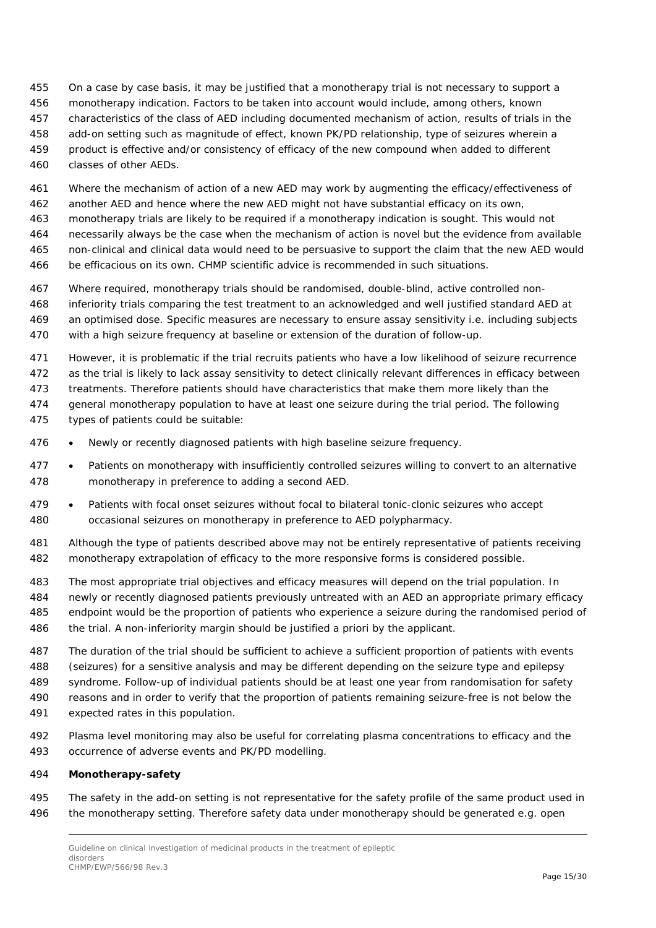- On a case by case basis, it may be justified that a monotherapy trial is not necessary to support a
- monotherapy indication. Factors to be taken into account would include, among others, known
- characteristics of the class of AED including documented mechanism of action, results of trials in the
- add-on setting such as magnitude of effect, known PK/PD relationship, type of seizures wherein a
- product is effective and/or consistency of efficacy of the new compound when added to different classes of other AEDs.
- Where the mechanism of action of a new AED may work by augmenting the efficacy/effectiveness of
- another AED and hence where the new AED might not have substantial efficacy on its own,
- monotherapy trials are likely to be required if a monotherapy indication is sought. This would not
- necessarily always be the case when the mechanism of action is novel but the evidence from available non-clinical and clinical data would need to be persuasive to support the claim that the new AED would
- be efficacious on its own. CHMP scientific advice is recommended in such situations.
- Where required, monotherapy trials should be randomised, double-blind, active controlled non-
- inferiority trials comparing the test treatment to an acknowledged and well justified standard AED at an optimised dose. Specific measures are necessary to ensure assay sensitivity i.e. including subjects
- with a high seizure frequency at baseline or extension of the duration of follow-up.
- However, it is problematic if the trial recruits patients who have a low likelihood of seizure recurrence
- as the trial is likely to lack assay sensitivity to detect clinically relevant differences in efficacy between
- treatments. Therefore patients should have characteristics that make them more likely than the
- general monotherapy population to have at least one seizure during the trial period. The following types of patients could be suitable:
- Newly or recently diagnosed patients with high baseline seizure frequency.
- Patients on monotherapy with insufficiently controlled seizures willing to convert to an alternative monotherapy in preference to adding a second AED.
- Patients with focal onset seizures without focal to bilateral tonic-clonic seizures who accept occasional seizures on monotherapy in preference to AED polypharmacy.
- Although the type of patients described above may not be entirely representative of patients receiving monotherapy extrapolation of efficacy to the more responsive forms is considered possible.
- The most appropriate trial objectives and efficacy measures will depend on the trial population. In newly or recently diagnosed patients previously untreated with an AED an appropriate primary efficacy endpoint would be the proportion of patients who experience a seizure during the randomised period of the trial. A non-inferiority margin should be justified a priori by the applicant.
- The duration of the trial should be sufficient to achieve a sufficient proportion of patients with events (seizures) for a sensitive analysis and may be different depending on the seizure type and epilepsy syndrome. Follow-up of individual patients should be at least one year from randomisation for safety reasons and in order to verify that the proportion of patients remaining seizure-free is not below the expected rates in this population.
- Plasma level monitoring may also be useful for correlating plasma concentrations to efficacy and the occurrence of adverse events and PK/PD modelling.

#### **Monotherapy-safety**

 The safety in the add-on setting is not representative for the safety profile of the same product used in the monotherapy setting. Therefore safety data under monotherapy should be generated e.g. open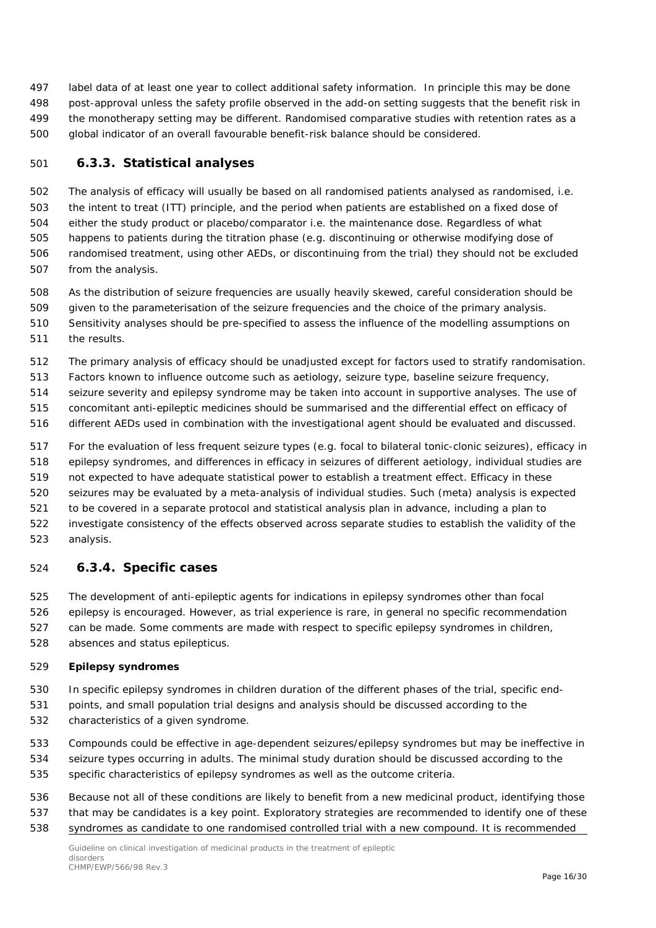label data of at least one year to collect additional safety information. In principle this may be done post-approval unless the safety profile observed in the add-on setting suggests that the benefit risk in the monotherapy setting may be different. Randomised comparative studies with retention rates as a global indicator of an overall favourable benefit-risk balance should be considered.

#### <span id="page-15-0"></span>**6.3.3. Statistical analyses**

 The analysis of efficacy will usually be based on all randomised patients analysed as randomised, i.e. the intent to treat (ITT) principle, and the period when patients are established on a fixed dose of either the study product or placebo/comparator i.e. the maintenance dose. Regardless of what happens to patients during the titration phase (e.g. discontinuing or otherwise modifying dose of randomised treatment, using other AEDs, or discontinuing from the trial) they should not be excluded from the analysis.

- As the distribution of seizure frequencies are usually heavily skewed, careful consideration should be
- given to the parameterisation of the seizure frequencies and the choice of the primary analysis.
- Sensitivity analyses should be pre-specified to assess the influence of the modelling assumptions on the results.
- The primary analysis of efficacy should be unadjusted except for factors used to stratify randomisation.
- Factors known to influence outcome such as aetiology, seizure type, baseline seizure frequency,
- seizure severity and epilepsy syndrome may be taken into account in supportive analyses. The use of
- concomitant anti-epileptic medicines should be summarised and the differential effect on efficacy of
- different AEDs used in combination with the investigational agent should be evaluated and discussed.
- For the evaluation of less frequent seizure types (e.g. focal to bilateral tonic-clonic seizures), efficacy in
- epilepsy syndromes, and differences in efficacy in seizures of different aetiology, individual studies are
- not expected to have adequate statistical power to establish a treatment effect. Efficacy in these
- seizures may be evaluated by a meta-analysis of individual studies. Such (meta) analysis is expected
- to be covered in a separate protocol and statistical analysis plan in advance, including a plan to
- investigate consistency of the effects observed across separate studies to establish the validity of the analysis.

#### <span id="page-15-1"></span>**6.3.4. Specific cases**

The development of anti-epileptic agents for indications in epilepsy syndromes other than focal

- epilepsy is encouraged. However, as trial experience is rare, in general no specific recommendation can be made. Some comments are made with respect to specific epilepsy syndromes in children,
- absences and status epilepticus.

#### **Epilepsy syndromes**

- In specific epilepsy syndromes in children duration of the different phases of the trial, specific end-
- points, and small population trial designs and analysis should be discussed according to the
- characteristics of a given syndrome.
- Compounds could be effective in age-dependent seizures/epilepsy syndromes but may be ineffective in
- seizure types occurring in adults. The minimal study duration should be discussed according to the specific characteristics of epilepsy syndromes as well as the outcome criteria.
- Because not all of these conditions are likely to benefit from a new medicinal product, identifying those that may be candidates is a key point. Exploratory strategies are recommended to identify one of these syndromes as candidate to one randomised controlled trial with a new compound. It is recommended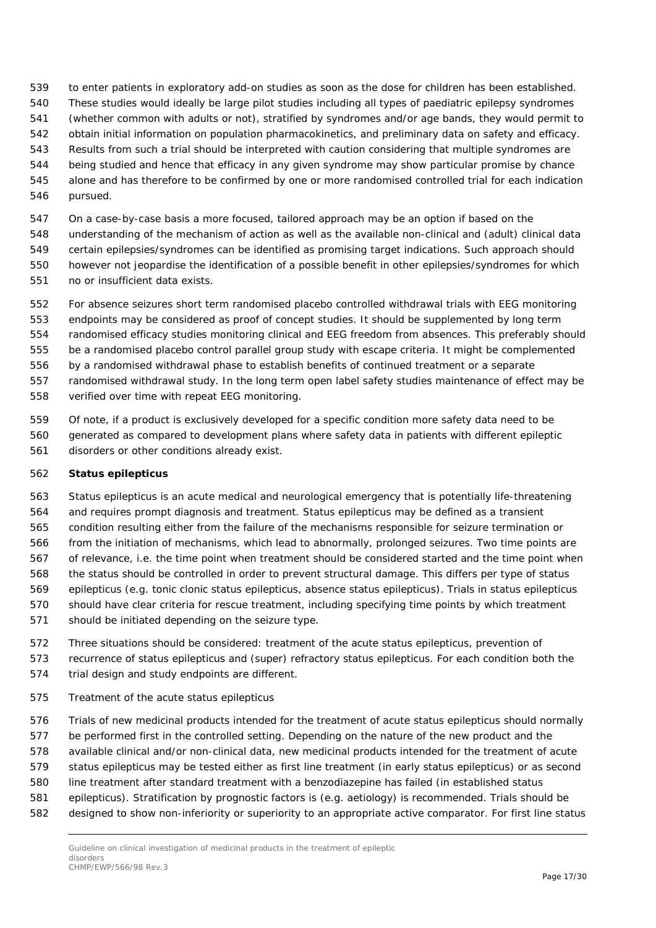- to enter patients in exploratory add-on studies as soon as the dose for children has been established.
- These studies would ideally be large pilot studies including all types of paediatric epilepsy syndromes
- (whether common with adults or not), stratified by syndromes and/or age bands, they would permit to
- obtain initial information on population pharmacokinetics, and preliminary data on safety and efficacy.
- Results from such a trial should be interpreted with caution considering that multiple syndromes are being studied and hence that efficacy in any given syndrome may show particular promise by chance
- alone and has therefore to be confirmed by one or more randomised controlled trial for each indication
- pursued.
- On a case-by-case basis a more focused, tailored approach may be an option if based on the
- understanding of the mechanism of action as well as the available non-clinical and (adult) clinical data
- certain epilepsies/syndromes can be identified as promising target indications. Such approach should however not jeopardise the identification of a possible benefit in other epilepsies/syndromes for which
- no or insufficient data exists.
- For absence seizures short term randomised placebo controlled withdrawal trials with EEG monitoring endpoints may be considered as proof of concept studies. It should be supplemented by long term randomised efficacy studies monitoring clinical and EEG freedom from absences. This preferably should be a randomised placebo control parallel group study with escape criteria. It might be complemented by a randomised withdrawal phase to establish benefits of continued treatment or a separate randomised withdrawal study. In the long term open label safety studies maintenance of effect may be
- verified over time with repeat EEG monitoring.
- Of note, if a product is exclusively developed for a specific condition more safety data need to be generated as compared to development plans where safety data in patients with different epileptic disorders or other conditions already exist.

#### **Status epilepticus**

- Status epilepticus is an acute medical and neurological emergency that is potentially life-threatening and requires prompt diagnosis and treatment. Status epilepticus may be defined as a transient condition resulting either from the failure of the mechanisms responsible for seizure termination or from the initiation of mechanisms, which lead to abnormally, prolonged seizures. Two time points are of relevance, i.e. the time point when treatment should be considered started and the time point when the status should be controlled in order to prevent structural damage. This differs per type of status epilepticus (e.g. tonic clonic status epilepticus, absence status epilepticus). Trials in status epilepticus should have clear criteria for rescue treatment, including specifying time points by which treatment should be initiated depending on the seizure type.
- Three situations should be considered: treatment of the acute status epilepticus, prevention of recurrence of status epilepticus and (super) refractory status epilepticus. For each condition both the trial design and study endpoints are different.
- *Treatment of the acute status epilepticus*
- Trials of new medicinal products intended for the treatment of acute status epilepticus should normally be performed first in the controlled setting. Depending on the nature of the new product and the available clinical and/or non-clinical data, new medicinal products intended for the treatment of acute status epilepticus may be tested either as first line treatment (in early status epilepticus) or as second line treatment after standard treatment with a benzodiazepine has failed (in established status epilepticus). Stratification by prognostic factors is (e.g. aetiology) is recommended. Trials should be designed to show non-inferiority or superiority to an appropriate active comparator. For first line status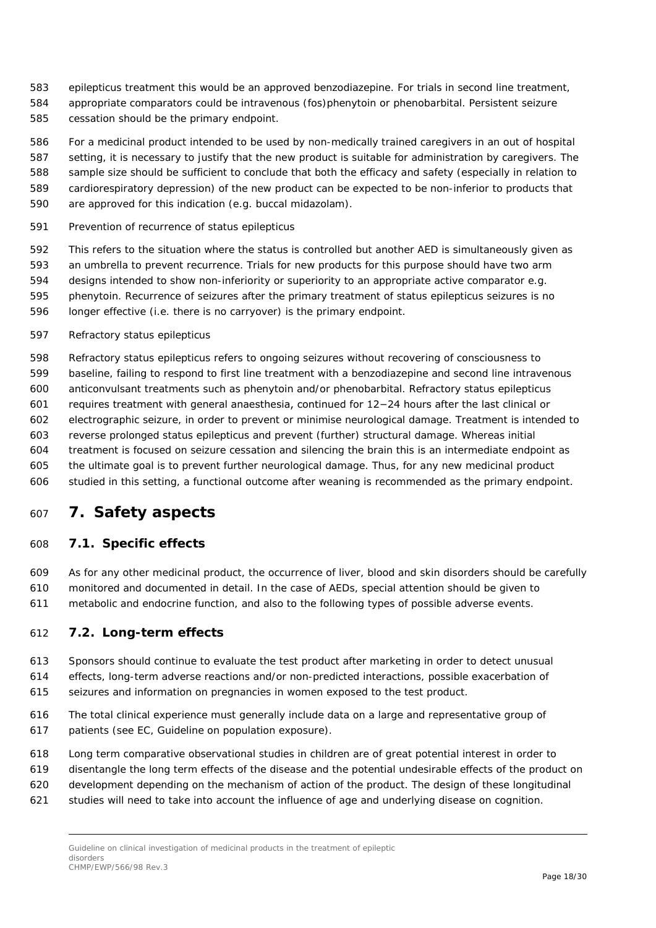- epilepticus treatment this would be an approved benzodiazepine. For trials in second line treatment,
- appropriate comparators could be intravenous (fos)phenytoin or phenobarbital. Persistent seizure
- cessation should be the primary endpoint.
- For a medicinal product intended to be used by non-medically trained caregivers in an out of hospital
- setting, it is necessary to justify that the new product is suitable for administration by caregivers. The
- sample size should be sufficient to conclude that both the efficacy and safety (especially in relation to
- cardiorespiratory depression) of the new product can be expected to be non-inferior to products that
- are approved for this indication (e.g. buccal midazolam).
- *Prevention of recurrence of status epilepticus*
- This refers to the situation where the status is controlled but another AED is simultaneously given as an umbrella to prevent recurrence. Trials for new products for this purpose should have two arm designs intended to show non-inferiority or superiority to an appropriate active comparator e.g.
- phenytoin. Recurrence of seizures after the primary treatment of status epilepticus seizures is no longer effective (i.e. there is no carryover) is the primary endpoint.
- *Refractory status epilepticus*
- Refractory status epilepticus refers to ongoing seizures without recovering of consciousness to baseline, failing to respond to first line treatment with a benzodiazepine and second line intravenous anticonvulsant treatments such as phenytoin and/or phenobarbital. Refractory status epilepticus requires treatment with general anaesthesia, continued for 12−24 hours after the last clinical or electrographic seizure, in order to prevent or minimise neurological damage. Treatment is intended to reverse prolonged status epilepticus and prevent (further) structural damage. Whereas initial treatment is focused on seizure cessation and silencing the brain this is an intermediate endpoint as
- the ultimate goal is to prevent further neurological damage. Thus, for any new medicinal product studied in this setting, a functional outcome after weaning is recommended as the primary endpoint.

## <span id="page-17-0"></span>**7. Safety aspects**

### <span id="page-17-1"></span>*7.1. Specific effects*

 As for any other medicinal product, the occurrence of liver, blood and skin disorders should be carefully monitored and documented in detail. In the case of AEDs, special attention should be given to metabolic and endocrine function, and also to the following types of possible adverse events.

### <span id="page-17-2"></span>*7.2. Long-term effects*

- Sponsors should continue to evaluate the test product after marketing in order to detect unusual
- effects, long-term adverse reactions and/or non-predicted interactions, possible exacerbation of seizures and information on pregnancies in women exposed to the test product.
- 
- The total clinical experience must generally include data on a large and representative group of patients (see EC, Guideline on population exposure).
- Long term comparative observational studies in children are of great potential interest in order to
- disentangle the long term effects of the disease and the potential undesirable effects of the product on
- development depending on the mechanism of action of the product. The design of these longitudinal
- studies will need to take into account the influence of age and underlying disease on cognition.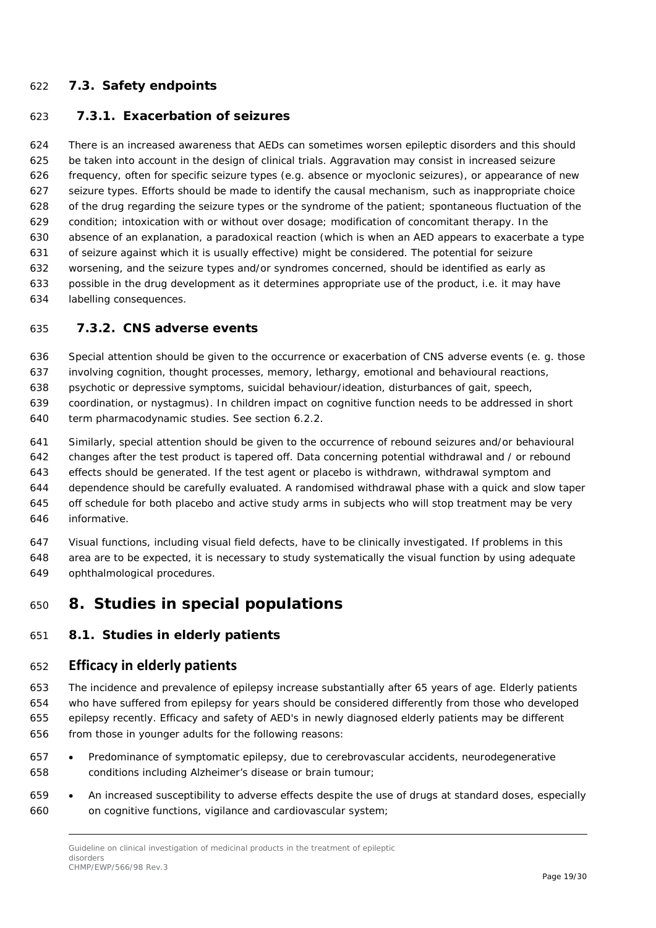#### <span id="page-18-0"></span>*7.3. Safety endpoints*

#### <span id="page-18-1"></span>**7.3.1. Exacerbation of seizures**

 There is an increased awareness that AEDs can sometimes worsen epileptic disorders and this should be taken into account in the design of clinical trials. Aggravation may consist in increased seizure frequency, often for specific seizure types (e.g. absence or myoclonic seizures), or appearance of new seizure types. Efforts should be made to identify the causal mechanism, such as inappropriate choice of the drug regarding the seizure types or the syndrome of the patient; spontaneous fluctuation of the condition; intoxication with or without over dosage; modification of concomitant therapy. In the absence of an explanation, a paradoxical reaction (which is when an AED appears to exacerbate a type of seizure against which it is usually effective) might be considered. The potential for seizure worsening, and the seizure types and/or syndromes concerned, should be identified as early as possible in the drug development as it determines appropriate use of the product, i.e. it may have labelling consequences.

#### <span id="page-18-2"></span>**7.3.2. CNS adverse events**

Special attention should be given to the occurrence or exacerbation of CNS adverse events (e. g. those

involving cognition, thought processes, memory, lethargy, emotional and behavioural reactions,

psychotic or depressive symptoms, suicidal behaviour/ideation, disturbances of gait, speech,

 coordination, or nystagmus). In children impact on cognitive function needs to be addressed in short term pharmacodynamic studies. See section 6.2.2.

 Similarly, special attention should be given to the occurrence of rebound seizures and/or behavioural changes after the test product is tapered off. Data concerning potential withdrawal and / or rebound effects should be generated. If the test agent or placebo is withdrawn, withdrawal symptom and dependence should be carefully evaluated. A randomised withdrawal phase with a quick and slow taper off schedule for both placebo and active study arms in subjects who will stop treatment may be very informative.

 Visual functions, including visual field defects, have to be clinically investigated. If problems in this area are to be expected, it is necessary to study systematically the visual function by using adequate ophthalmological procedures.

### <span id="page-18-3"></span>**8. Studies in special populations**

#### <span id="page-18-4"></span>*8.1. Studies in elderly patients*

#### **Efficacy in elderly patients**

 The incidence and prevalence of epilepsy increase substantially after 65 years of age. Elderly patients who have suffered from epilepsy for years should be considered differently from those who developed epilepsy recently. Efficacy and safety of AED's in newly diagnosed elderly patients may be different from those in younger adults for the following reasons:

- Predominance of symptomatic epilepsy, due to cerebrovascular accidents, neurodegenerative conditions including Alzheimer's disease or brain tumour;
- An increased susceptibility to adverse effects despite the use of drugs at standard doses, especially on cognitive functions, vigilance and cardiovascular system;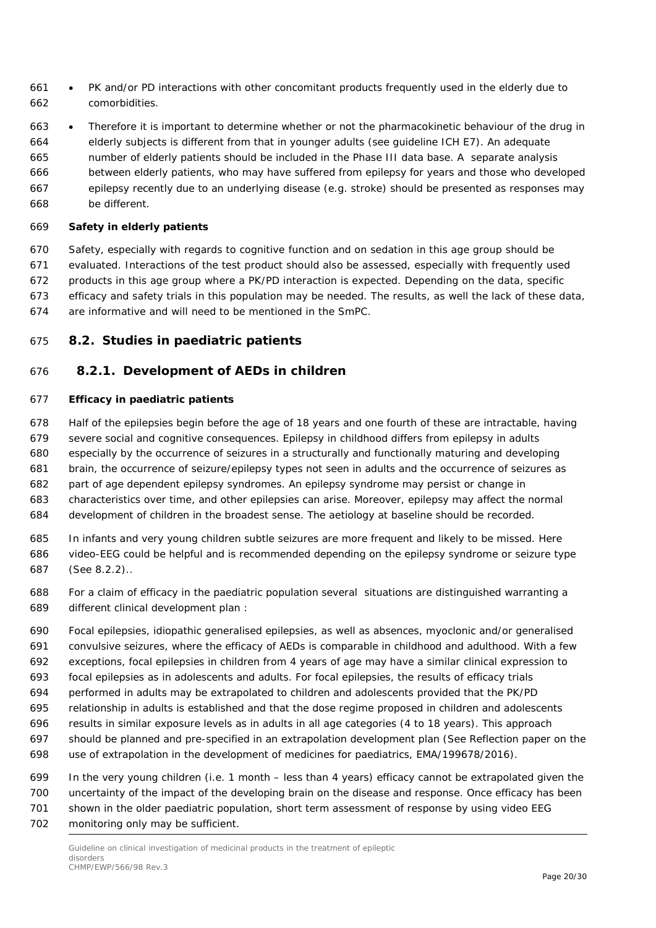- PK and/or PD interactions with other concomitant products frequently used in the elderly due to comorbidities.
- Therefore it is important to determine whether or not the pharmacokinetic behaviour of the drug in elderly subjects is different from that in younger adults (see guideline ICH E7). An adequate number of elderly patients should be included in the Phase III data base. A separate analysis between elderly patients, who may have suffered from epilepsy for years and those who developed epilepsy recently due to an underlying disease (e.g. stroke) should be presented as responses may
- be different.

#### **Safety in elderly patients**

 Safety, especially with regards to cognitive function and on sedation in this age group should be evaluated. Interactions of the test product should also be assessed, especially with frequently used products in this age group where a PK/PD interaction is expected. Depending on the data, specific efficacy and safety trials in this population may be needed. The results, as well the lack of these data, are informative and will need to be mentioned in the SmPC.

#### <span id="page-19-0"></span>*8.2. Studies in paediatric patients*

#### <span id="page-19-1"></span>**8.2.1. Development of AEDs in children**

#### **Efficacy in paediatric patients**

Half of the epilepsies begin before the age of 18 years and one fourth of these are intractable, having

- severe social and cognitive consequences. Epilepsy in childhood differs from epilepsy in adults
- especially by the occurrence of seizures in a structurally and functionally maturing and developing
- brain, the occurrence of seizure/epilepsy types not seen in adults and the occurrence of seizures as
- part of age dependent epilepsy syndromes. An epilepsy syndrome may persist or change in
- characteristics over time, and other epilepsies can arise. Moreover, epilepsy may affect the normal
- development of children in the broadest sense. The aetiology at baseline should be recorded.
- In infants and very young children subtle seizures are more frequent and likely to be missed. Here video-EEG could be helpful and is recommended depending on the epilepsy syndrome or seizure type
- (See 8.2.2)..
- For a claim of efficacy in the paediatric population several situations are distinguished warranting a different clinical development plan :
- Focal epilepsies, idiopathic generalised epilepsies, as well as absences, myoclonic and/or generalised convulsive seizures, where the efficacy of AEDs is comparable in childhood and adulthood. With a few
- exceptions, focal epilepsies in children from 4 years of age may have a similar clinical expression to
- focal epilepsies as in adolescents and adults. For focal epilepsies, the results of efficacy trials
- performed in adults may be extrapolated to children and adolescents provided that the PK/PD
- relationship in adults is established and that the dose regime proposed in children and adolescents
- results in similar exposure levels as in adults in all age categories (4 to 18 years). This approach
- should be planned and pre-specified in an extrapolation development plan (See Reflection paper on the
- use of extrapolation in the development of medicines for paediatrics, EMA/199678/2016).
- In the very young children (i.e. 1 month less than 4 years) efficacy cannot be extrapolated given the uncertainty of the impact of the developing brain on the disease and response. Once efficacy has been
- shown in the older paediatric population, short term assessment of response by using video EEG
- monitoring only may be sufficient.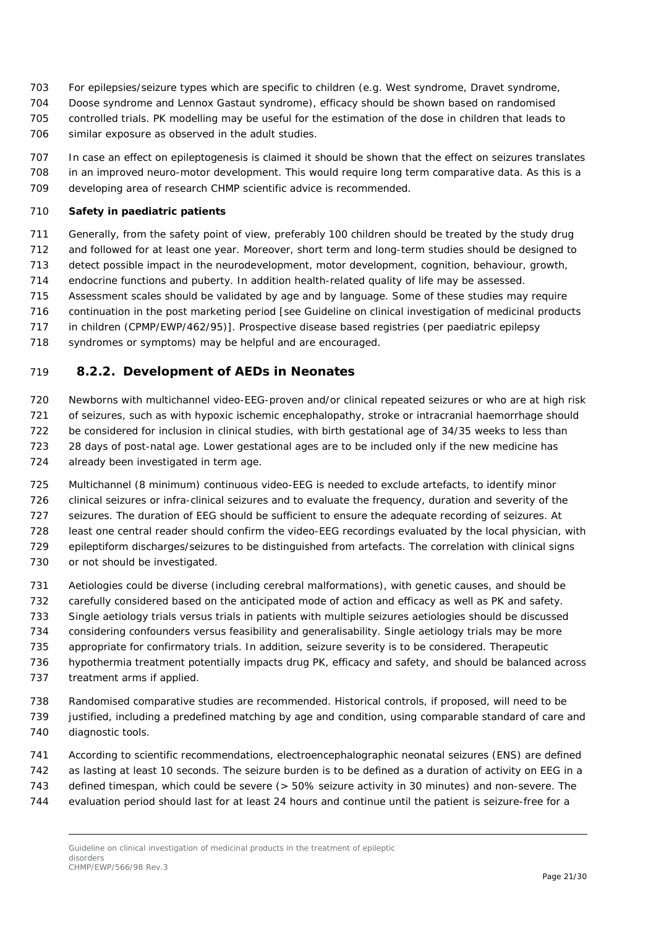- For epilepsies/seizure types which are specific to children (e.g. West syndrome, Dravet syndrome,
- Doose syndrome and Lennox Gastaut syndrome), efficacy should be shown based on randomised
- controlled trials. PK modelling may be useful for the estimation of the dose in children that leads to
- similar exposure as observed in the adult studies.
- In case an effect on epileptogenesis is claimed it should be shown that the effect on seizures translates in an improved neuro-motor development. This would require long term comparative data. As this is a developing area of research CHMP scientific advice is recommended.

#### **Safety in paediatric patients**

- Generally, from the safety point of view, preferably 100 children should be treated by the study drug
- and followed for at least one year. Moreover, short term and long-term studies should be designed to
- detect possible impact in the neurodevelopment, motor development, cognition, behaviour, growth,
- endocrine functions and puberty. In addition health-related quality of life may be assessed.
- Assessment scales should be validated by age and by language. Some of these studies may require
- continuation in the post marketing period [see Guideline on clinical investigation of medicinal products
- in children (CPMP/EWP/462/95)]. Prospective disease based registries (per paediatric epilepsy
- 718 syndromes or symptoms) may be helpful and are encouraged.

#### <span id="page-20-0"></span>**8.2.2. Development of AEDs in Neonates**

- Newborns with multichannel video-EEG-proven and/or clinical repeated seizures or who are at high risk of seizures, such as with hypoxic ischemic encephalopathy, stroke or intracranial haemorrhage should be considered for inclusion in clinical studies, with birth gestational age of 34/35 weeks to less than 28 days of post-natal age. Lower gestational ages are to be included only if the new medicine has already been investigated in term age.
- Multichannel (8 minimum) continuous video-EEG is needed to exclude artefacts, to identify minor clinical seizures or infra-clinical seizures and to evaluate the frequency, duration and severity of the seizures. The duration of EEG should be sufficient to ensure the adequate recording of seizures. At least one central reader should confirm the video-EEG recordings evaluated by the local physician, with epileptiform discharges/seizures to be distinguished from artefacts. The correlation with clinical signs
- 730 or not should be investigated.
- Aetiologies could be diverse (including cerebral malformations), with genetic causes, and should be
- carefully considered based on the anticipated mode of action and efficacy as well as PK and safety.
- Single aetiology trials versus trials in patients with multiple seizures aetiologies should be discussed
- considering confounders versus feasibility and generalisability. Single aetiology trials may be more
- appropriate for confirmatory trials. In addition, seizure severity is to be considered. Therapeutic
- hypothermia treatment potentially impacts drug PK, efficacy and safety, and should be balanced across treatment arms if applied.
- Randomised comparative studies are recommended. Historical controls, if proposed, will need to be justified, including a predefined matching by age and condition, using comparable standard of care and diagnostic tools.
- According to scientific recommendations, electroencephalographic neonatal seizures (ENS) are defined
- as lasting at least 10 seconds. The seizure burden is to be defined as a duration of activity on EEG in a
- defined timespan, which could be severe (> 50% seizure activity in 30 minutes) and non-severe. The
- evaluation period should last for at least 24 hours and continue until the patient is seizure-free for a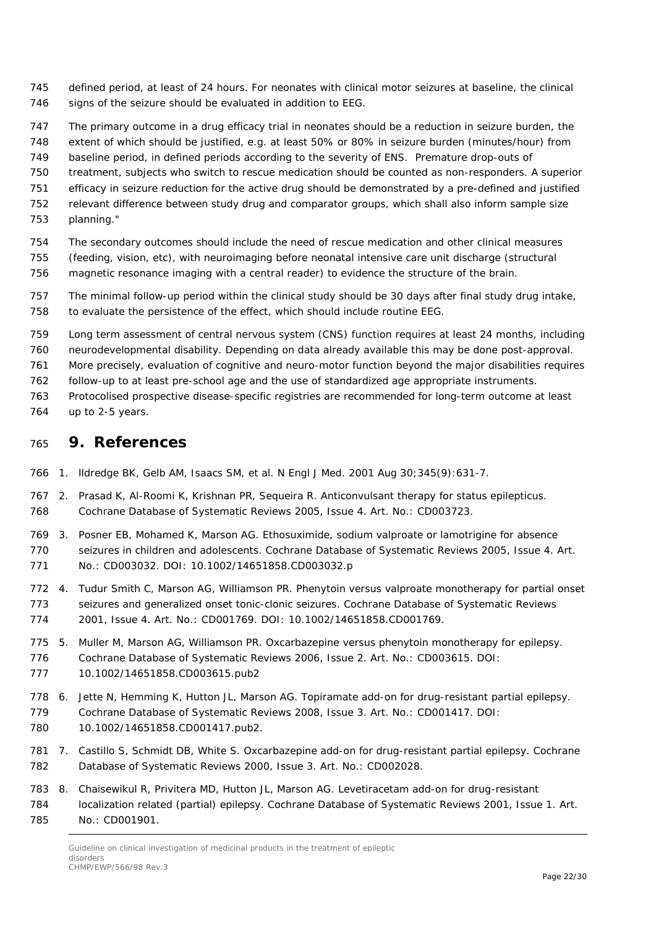- defined period, at least of 24 hours. For neonates with clinical motor seizures at baseline, the clinical 746 signs of the seizure should be evaluated in addition to EEG.
- The primary outcome in a drug efficacy trial in neonates should be a reduction in seizure burden, the
- extent of which should be justified, e.g. at least 50% or 80% in seizure burden (minutes/hour) from
- baseline period, in defined periods according to the severity of ENS. Premature drop-outs of
- treatment, subjects who switch to rescue medication should be counted as non-responders. A superior
- efficacy in seizure reduction for the active drug should be demonstrated by a pre-defined and justified
- relevant difference between study drug and comparator groups, which shall also inform sample size
- planning."
- The secondary outcomes should include the need of rescue medication and other clinical measures
- (feeding, vision, etc), with neuroimaging before neonatal intensive care unit discharge (structural
- magnetic resonance imaging with a central reader) to evidence the structure of the brain.
- The minimal follow-up period within the clinical study should be 30 days after final study drug intake, to evaluate the persistence of the effect, which should include routine EEG.
- Long term assessment of central nervous system (CNS) function requires at least 24 months, including
- neurodevelopmental disability. Depending on data already available this may be done post-approval.
- More precisely, evaluation of cognitive and neuro-motor function beyond the major disabilities requires
- follow-up to at least pre-school age and the use of standardized age appropriate instruments.
- Protocolised prospective disease-specific registries are recommended for long-term outcome at least
- up to 2-5 years.

#### <span id="page-21-0"></span>**9. References**

- 1. lldredge BK, Gelb AM, Isaacs SM, et al. N Engl J Med. 2001 Aug 30;345(9):631-7.
- 2. Prasad K, Al-Roomi K, Krishnan PR, Sequeira R. Anticonvulsant therapy for status epilepticus. Cochrane Database of Systematic Reviews 2005, Issue 4. Art. No.: CD003723.
- 3. Posner EB, Mohamed K, Marson AG. Ethosuximide, sodium valproate or lamotrigine for absence seizures in children and adolescents. Cochrane Database of Systematic Reviews 2005, Issue 4. Art.
- No.: CD003032. DOI: 10.1002/14651858.CD003032.p
- 4. Tudur Smith C, Marson AG, Williamson PR. Phenytoin versus valproate monotherapy for partial onset seizures and generalized onset tonic-clonic seizures. Cochrane Database of Systematic Reviews 2001, Issue 4. Art. No.: CD001769. DOI: 10.1002/14651858.CD001769.
- 5. Muller M, Marson AG, Williamson PR. Oxcarbazepine versus phenytoin monotherapy for epilepsy.
- Cochrane Database of Systematic Reviews 2006, Issue 2. Art. No.: CD003615. DOI:
- 10.1002/14651858.CD003615.pub2
- 6. Jette N, Hemming K, Hutton JL, Marson AG. Topiramate add-on for drug-resistant partial epilepsy. Cochrane Database of Systematic Reviews 2008, Issue 3. Art. No.: CD001417. DOI: 10.1002/14651858.CD001417.pub2.
- 7. Castillo S, Schmidt DB, White S. Oxcarbazepine add-on for drug-resistant partial epilepsy. Cochrane Database of Systematic Reviews 2000, Issue 3. Art. No.: CD002028.
- 8. Chaisewikul R, Privitera MD, Hutton JL, Marson AG. Levetiracetam add-on for drug-resistant localization related (partial) epilepsy. Cochrane Database of Systematic Reviews 2001, Issue 1. Art. No.: CD001901.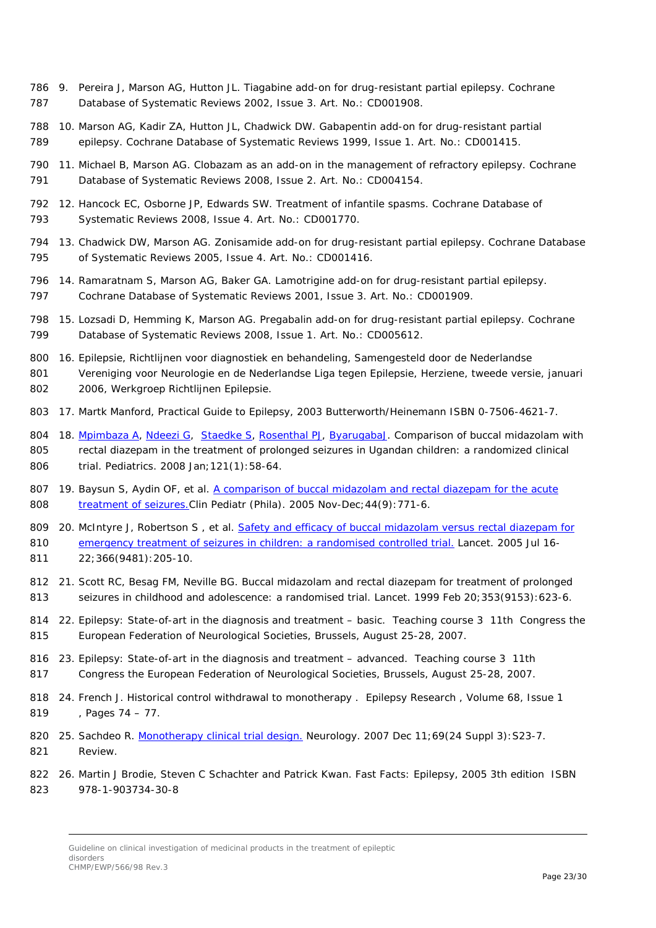- 9. Pereira J, Marson AG, Hutton JL. Tiagabine add-on for drug-resistant partial epilepsy. Cochrane Database of Systematic Reviews 2002, Issue 3. Art. No.: CD001908.
- 10. Marson AG, Kadir ZA, Hutton JL, Chadwick DW. Gabapentin add-on for drug-resistant partial epilepsy. Cochrane Database of Systematic Reviews 1999, Issue 1. Art. No.: CD001415.
- 11. Michael B, Marson AG. Clobazam as an add-on in the management of refractory epilepsy. Cochrane Database of Systematic Reviews 2008, Issue 2. Art. No.: CD004154.
- 12. Hancock EC, Osborne JP, Edwards SW. Treatment of infantile spasms. Cochrane Database of Systematic Reviews 2008, Issue 4. Art. No.: CD001770.
- 13. Chadwick DW, Marson AG. Zonisamide add-on for drug-resistant partial epilepsy. Cochrane Database of Systematic Reviews 2005, Issue 4. Art. No.: CD001416.
- 14. Ramaratnam S, Marson AG, Baker GA. Lamotrigine add-on for drug-resistant partial epilepsy. Cochrane Database of Systematic Reviews 2001, Issue 3. Art. No.: CD001909.
- 15. Lozsadi D, Hemming K, Marson AG. Pregabalin add-on for drug-resistant partial epilepsy. Cochrane Database of Systematic Reviews 2008, Issue 1. Art. No.: CD005612.
- 16. Epilepsie, Richtlijnen voor diagnostiek en behandeling, Samengesteld door de Nederlandse Vereniging voor Neurologie en de Nederlandse Liga tegen Epilepsie, Herziene, tweede versie, januari
- 2006, Werkgroep Richtlijnen Epilepsie.
- 17. Martk Manford, Practical Guide to Epilepsy, 2003 Butterworth/Heinemann ISBN 0-7506-4621-7.
- 804 18. [Mpimbaza A,](https://www.ncbi.nlm.nih.gov/pubmed/?term=Mpimbaza%20A%5BAuthor%5D&cauthor=true&cauthor_uid=18166545) [Ndeezi G,](https://www.ncbi.nlm.nih.gov/pubmed/?term=Ndeezi%20G%5BAuthor%5D&cauthor=true&cauthor_uid=18166545) [Staedke S,](https://www.ncbi.nlm.nih.gov/pubmed/?term=Staedke%20S%5BAuthor%5D&cauthor=true&cauthor_uid=18166545) [Rosenthal PJ,](https://www.ncbi.nlm.nih.gov/pubmed/?term=Rosenthal%20PJ%5BAuthor%5D&cauthor=true&cauthor_uid=18166545) [ByarugabaJ.](https://www.ncbi.nlm.nih.gov/pubmed/?term=Byarugaba%20J%5BAuthor%5D&cauthor=true&cauthor_uid=18166545) Comparison of buccal midazolam with 805 rectal diazepam in the treatment of prolonged seizures in Ugandan children: a randomized clinical trial. Pediatrics. 2008 Jan;121(1):58-64.
- 19. Baysun S, Aydin OF, et al. A comparison of [buccal midazolam and rectal diazepam for the acute](http://www.ncbi.nlm.nih.gov/pubmed/16327963?ordinalpos=18&itool=EntrezSystem2.PEntrez.Pubmed.Pubmed_ResultsPanel.Pubmed_DefaultReportPanel.Pubmed_RVDocSum)  [treatment of seizures.C](http://www.ncbi.nlm.nih.gov/pubmed/16327963?ordinalpos=18&itool=EntrezSystem2.PEntrez.Pubmed.Pubmed_ResultsPanel.Pubmed_DefaultReportPanel.Pubmed_RVDocSum)lin Pediatr (Phila). 2005 Nov-Dec; 44(9): 771-6.

809 20. McIntyre J, Robertson S, et al. Safety and efficacy of buccal midazolam versus rectal diazepam for [emergency treatment of seizures in children: a randomised controlled trial.](http://www.ncbi.nlm.nih.gov/pubmed/16023510?ordinalpos=4&itool=EntrezSystem2.PEntrez.Pubmed.Pubmed_ResultsPanel.Pubmed_DefaultReportPanel.Pubmed_RVDocSum) Lancet. 2005 Jul 16- 22;366(9481):205-10.

- 21. Scott RC, Besag FM, Neville BG. Buccal midazolam and rectal diazepam for treatment of prolonged 813 seizures in childhood and adolescence: a randomised trial. Lancet. 1999 Feb 20;353(9153):623-6.
- 22. Epilepsy: State-of-art in the diagnosis and treatment basic. Teaching course 3 11th Congress the European Federation of Neurological Societies, Brussels, August 25-28, 2007.
- 23. Epilepsy: State-of-art in the diagnosis and treatment advanced. Teaching course 3 11th Congress the European Federation of Neurological Societies, Brussels, August 25-28, 2007.
- 24. French J. Historical control withdrawal to monotherapy . Epilepsy Research , Volume 68, Issue 1 , Pages 74 – 77.
- 820 25. Sachdeo R. [Monotherapy clinical trial design.](http://www.ncbi.nlm.nih.gov/pubmed/18071154?ordinalpos=1&itool=EntrezSystem2.PEntrez.Pubmed.Pubmed_ResultsPanel.Pubmed_DefaultReportPanel.Pubmed_RVDocSum) Neurology. 2007 Dec 11;69(24 Suppl 3): S23-7. Review.
- 26. Martin J Brodie, Steven C Schachter and Patrick Kwan. Fast Facts: Epilepsy, 2005 3th edition ISBN 978-1-903734-30-8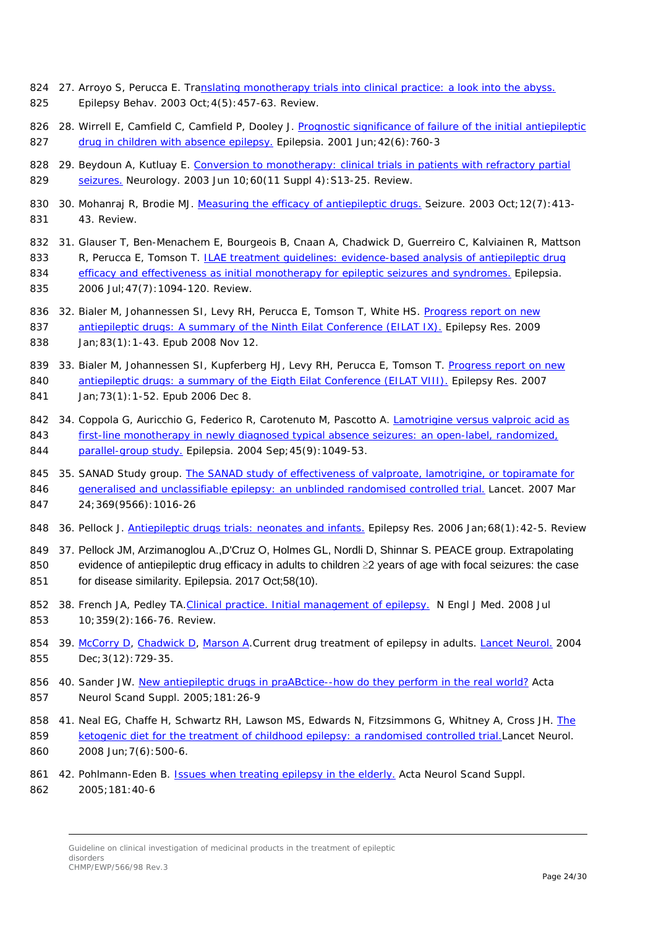- 824 27. Arroyo S, Perucca E. Tr[anslating monotherapy trials into clinical practice: a look into the abyss.](http://www.ncbi.nlm.nih.gov/pubmed/14527485?ordinalpos=2&itool=EntrezSystem2.PEntrez.Pubmed.Pubmed_ResultsPanel.Pubmed_DefaultReportPanel.Pubmed_RVDocSum) Epilepsy Behav. 2003 Oct;4(5):457-63. Review.
- 28. Wirrell E, Camfield C, Camfield P, Dooley J. [Prognostic significance of failure of the initial antiepileptic](http://www.ncbi.nlm.nih.gov/pubmed/11422332?ordinalpos=5&itool=EntrezSystem2.PEntrez.Pubmed.Pubmed_ResultsPanel.Pubmed_DefaultReportPanel.Pubmed_RVDocSum)  [drug in children with absence epilepsy.](http://www.ncbi.nlm.nih.gov/pubmed/11422332?ordinalpos=5&itool=EntrezSystem2.PEntrez.Pubmed.Pubmed_ResultsPanel.Pubmed_DefaultReportPanel.Pubmed_RVDocSum) Epilepsia. 2001 Jun;42(6):760-3
- 29. Beydoun A, Kutluay E. [Conversion to monotherapy: clinical trials in patients with refractory partial](http://www.ncbi.nlm.nih.gov/pubmed/12796517?ordinalpos=16&itool=EntrezSystem2.PEntrez.Pubmed.Pubmed_ResultsPanel.Pubmed_DefaultReportPanel.Pubmed_RVDocSum)  [seizures.](http://www.ncbi.nlm.nih.gov/pubmed/12796517?ordinalpos=16&itool=EntrezSystem2.PEntrez.Pubmed.Pubmed_ResultsPanel.Pubmed_DefaultReportPanel.Pubmed_RVDocSum) Neurology. 2003 Jun 10;60(11 Suppl 4): S13-25. Review.
- 830 30. Mohanraj R, Brodie MJ. [Measuring the efficacy of antiepileptic drugs.](http://www.ncbi.nlm.nih.gov/pubmed/12967570?ordinalpos=1&itool=EntrezSystem2.PEntrez.Pubmed.Pubmed_ResultsPanel.Pubmed_DefaultReportPanel.Pubmed_RVDocSum) Seizure. 2003 Oct;12(7):413-43. Review.
- 31. Glauser T, Ben-Menachem E, Bourgeois B, Cnaan A, Chadwick D, Guerreiro C, Kalviainen R, Mattson 833 R, Perucca E, Tomson T. ILAE treatment guidelines: evidence-based analysis of antiepileptic drug [efficacy and effectiveness as initial monotherapy for epileptic seizures and syndromes.](http://www.ncbi.nlm.nih.gov/pubmed/16886973?ordinalpos=2&itool=EntrezSystem2.PEntrez.Pubmed.Pubmed_ResultsPanel.Pubmed_DefaultReportPanel.Pubmed_RVDocSum) Epilepsia.
- 835 2006 Jul; 47(7): 1094-120. Review.
- 836 32. Bialer M, Johannessen SI, Levy RH, Perucca E, Tomson T, White HS. Progress report on new [antiepileptic drugs: A summary of the Ninth Eilat Conference \(EILAT IX\).](http://www.ncbi.nlm.nih.gov/pubmed/19008076?ordinalpos=1&itool=EntrezSystem2.PEntrez.Pubmed.Pubmed_ResultsPanel.Pubmed_DefaultReportPanel.Pubmed_RVDocSum) Epilepsy Res. 2009 Jan;83(1):1-43. Epub 2008 Nov 12.
- 839 33. Bialer M, Johannessen SI, Kupferberg HJ, Levy RH, Perucca E, Tomson T. Progress report on new [antiepileptic drugs: a summary of the Eigth Eilat Conference \(EILAT VIII\).](http://www.ncbi.nlm.nih.gov/pubmed/17158031?ordinalpos=2&itool=EntrezSystem2.PEntrez.Pubmed.Pubmed_ResultsPanel.Pubmed_DefaultReportPanel.Pubmed_RVDocSum) Epilepsy Res. 2007 Jan;73(1):1-52. Epub 2006 Dec 8.
- 842 34. Coppola G, Auricchio G, Federico R, Carotenuto M, Pascotto A. Lamotrigine versus valproic acid as [first-line monotherapy in newly diagnosed typical absence seizures: an open-label, randomized,](http://www.ncbi.nlm.nih.gov/pubmed/15329068?ordinalpos=2&itool=EntrezSystem2.PEntrez.Pubmed.Pubmed_ResultsPanel.Pubmed_DefaultReportPanel.Pubmed_RVDocSum)  [parallel-group study.](http://www.ncbi.nlm.nih.gov/pubmed/15329068?ordinalpos=2&itool=EntrezSystem2.PEntrez.Pubmed.Pubmed_ResultsPanel.Pubmed_DefaultReportPanel.Pubmed_RVDocSum) Epilepsia. 2004 Sep; 45(9): 1049-53.
- 35. SANAD Study group. [The SANAD study of effectiveness of valproate, lamotrigine, or topiramate for](http://www.ncbi.nlm.nih.gov/pubmed/17382828?ordinalpos=20&itool=EntrezSystem2.PEntrez.Pubmed.Pubmed_ResultsPanel.Pubmed_DefaultReportPanel.Pubmed_RVDocSum)  [generalised and unclassifiable epilepsy: an unblinded randomised controlled trial.](http://www.ncbi.nlm.nih.gov/pubmed/17382828?ordinalpos=20&itool=EntrezSystem2.PEntrez.Pubmed.Pubmed_ResultsPanel.Pubmed_DefaultReportPanel.Pubmed_RVDocSum) Lancet. 2007 Mar 24;369(9566):1016-26
- 848 36. Pellock J. [Antiepileptic drugs trials: neonates and infants.](http://www.ncbi.nlm.nih.gov/pubmed/16377140?ordinalpos=4&itool=EntrezSystem2.PEntrez.Pubmed.Pubmed_ResultsPanel.Pubmed_DefaultReportPanel.Pubmed_RVDocSum) Epilepsy Res. 2006 Jan;68(1):42-5. Review
- 37. [Pellock JM,](https://www.ncbi.nlm.nih.gov/pubmed/?term=Pellock%20JM%5BAuthor%5D&cauthor=true&cauthor_uid=28755452) [Arzimanoglou A.](https://www.ncbi.nlm.nih.gov/pubmed/?term=Arzimanoglou%20A%5BAuthor%5D&cauthor=true&cauthor_uid=28755452)[,D'Cruz O,](https://www.ncbi.nlm.nih.gov/pubmed/?term=D) [Holmes GL,](https://www.ncbi.nlm.nih.gov/pubmed/?term=Holmes%20GL%5BAuthor%5D&cauthor=true&cauthor_uid=28755452) [Nordli D,](https://www.ncbi.nlm.nih.gov/pubmed/?term=Nordli%20D%5BAuthor%5D&cauthor=true&cauthor_uid=28755452) [Shinnar S.](https://www.ncbi.nlm.nih.gov/pubmed/?term=Shinnar%20S%5BAuthor%5D&cauthor=true&cauthor_uid=28755452) [PEACE](https://www.ncbi.nlm.nih.gov/pubmed/?term=Pediatric%20Epilepsy%20Academic%20Consortium%20for%20Extrapolation%5BCorporate%20Author%5D) group. Extrapolating evidence of antiepileptic drug efficacy in adults to children ≥2 years of age with focal seizures: the case for disease similarity. Epilepsia. 2017 Oct;58(10).
- 852 38. French JA, Pedley TA. Clinical practice. Initial management of epilepsy. N Engl J Med. 2008 Jul 10;359(2):166-76. Review.
- 854 39. [McCorry D,](http://www.ncbi.nlm.nih.gov/sites/entrez?Db=pubmed&Cmd=Search&Term=%22McCorry%20D%22%5BAuthor%5D&itool=EntrezSystem2.PEntrez.Pubmed.Pubmed_ResultsPanel.Pubmed_DiscoveryPanel.Pubmed_RVAbstractPlus) [Chadwick D,](http://www.ncbi.nlm.nih.gov/sites/entrez?Db=pubmed&Cmd=Search&Term=%22Chadwick%20D%22%5BAuthor%5D&itool=EntrezSystem2.PEntrez.Pubmed.Pubmed_ResultsPanel.Pubmed_DiscoveryPanel.Pubmed_RVAbstractPlus) [Marson A.](http://www.ncbi.nlm.nih.gov/sites/entrez?Db=pubmed&Cmd=Search&Term=%22Marson%20A%22%5BAuthor%5D&itool=EntrezSystem2.PEntrez.Pubmed.Pubmed_ResultsPanel.Pubmed_DiscoveryPanel.Pubmed_RVAbstractPlus)Current drug treatment of epilepsy in adults. [Lancet Neurol.](javascript:AL_get(this,%20) 2004 Dec;3(12):729-35.
- 856 40. Sander JW. [New antiepileptic drugs in praABctice--how do they perform in the real world?](http://www.ncbi.nlm.nih.gov/pubmed/16238705?ordinalpos=3&itool=EntrezSystem2.PEntrez.Pubmed.Pubmed_ResultsPanel.Pubmed_DefaultReportPanel.Pubmed_RVDocSum) Acta Neurol Scand Suppl. 2005;181:26-9
- 41. Neal EG, Chaffe H, Schwartz RH, Lawson MS, Edwards N, Fitzsimmons G, Whitney A, Cross JH. [The](http://www.ncbi.nlm.nih.gov/pubmed/18456557?ordinalpos=2&itool=EntrezSystem2.PEntrez.Pubmed.Pubmed_ResultsPanel.Pubmed_DefaultReportPanel.Pubmed_RVDocSum)  [ketogenic diet for the treatment of childhood epilepsy: a randomised controlled trial.L](http://www.ncbi.nlm.nih.gov/pubmed/18456557?ordinalpos=2&itool=EntrezSystem2.PEntrez.Pubmed.Pubmed_ResultsPanel.Pubmed_DefaultReportPanel.Pubmed_RVDocSum)ancet Neurol. 2008 Jun;7(6):500-6.
- 861 42. Pohlmann-Eden B. [Issues when treating epilepsy in the elderly.](http://www.ncbi.nlm.nih.gov/pubmed/16238708?ordinalpos=2&itool=EntrezSystem2.PEntrez.Pubmed.Pubmed_ResultsPanel.Pubmed_DefaultReportPanel.Pubmed_RVDocSum) Acta Neurol Scand Suppl.
- 2005;181:40-6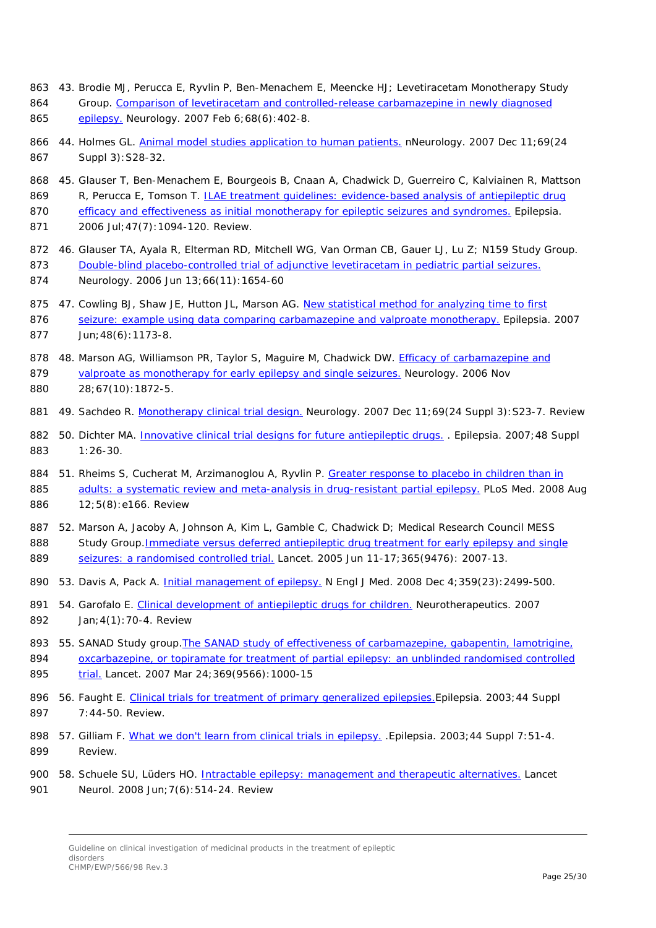- 863 43. Brodie MJ, Perucca E, Ryvlin P, Ben-Menachem E, Meencke HJ; Levetiracetam Monotherapy Study 864 Group. Comparison of levetiracetam and controlled-release carbamazepine in newly diagnosed
- 865 [epilepsy.](http://www.ncbi.nlm.nih.gov/pubmed/17283312?ordinalpos=2&itool=EntrezSystem2.PEntrez.Pubmed.Pubmed_ResultsPanel.Pubmed_DefaultReportPanel.Pubmed_RVDocSum) Neurology. 2007 Feb 6;68(6):402-8.
- 866 44. Holmes GL. [Animal model studies application to human patients.](http://www.ncbi.nlm.nih.gov/pubmed/18071155?ordinalpos=3&itool=EntrezSystem2.PEntrez.Pubmed.Pubmed_ResultsPanel.Pubmed_DefaultReportPanel.Pubmed_RVDocSum) nNeurology. 2007 Dec 11;69(24 867 Suppl 3):S28-32.
- 868 45. Glauser T, Ben-Menachem E, Bourgeois B, Cnaan A, Chadwick D, Guerreiro C, Kalviainen R, Mattson 869 R, Perucca E, Tomson T. **ILAE** treatment guidelines: evidence-based analysis of antiepileptic drug 870 [efficacy and effectiveness as initial monotherapy for epileptic seizures and syndromes.](http://www.ncbi.nlm.nih.gov/pubmed/16886973?ordinalpos=2&itool=EntrezSystem2.PEntrez.Pubmed.Pubmed_ResultsPanel.Pubmed_DefaultReportPanel.Pubmed_RVDocSum) Epilepsia.
- 871 2006 Jul;47(7):1094-120. Review.
- 872 46. Glauser TA, Ayala R, Elterman RD, Mitchell WG, Van Orman CB, Gauer LJ, Lu Z; N159 Study Group. 873 [Double-blind placebo-controlled trial of adjunctive levetiracetam in pediatric partial seizures.](http://www.ncbi.nlm.nih.gov/pubmed/16641323?ordinalpos=3&itool=EntrezSystem2.PEntrez.Pubmed.Pubmed_ResultsPanel.Pubmed_DefaultReportPanel.Pubmed_RVDocSum) 874 Neurology. 2006 Jun 13;66(11):1654-60
- 875 47. Cowling BJ, Shaw JE, Hutton JL, Marson AG. New statistical method for analyzing time to first
- 876 seizure: example using data comparing [carbamazepine and valproate monotherapy.](http://www.ncbi.nlm.nih.gov/pubmed/17553118?ordinalpos=5&itool=EntrezSystem2.PEntrez.Pubmed.Pubmed_ResultsPanel.Pubmed_DefaultReportPanel.Pubmed_RVDocSum) Epilepsia. 2007 877 Jun;48(6):1173-8.

878 48. Marson AG, Williamson PR, Taylor S, Maguire M, Chadwick DW. [Efficacy of carbamazepine and](http://www.ncbi.nlm.nih.gov/pubmed/17130429?ordinalpos=9&itool=EntrezSystem2.PEntrez.Pubmed.Pubmed_ResultsPanel.Pubmed_DefaultReportPanel.Pubmed_RVDocSum)  879 [valproate as monotherapy for early epilepsy and single seizures.](http://www.ncbi.nlm.nih.gov/pubmed/17130429?ordinalpos=9&itool=EntrezSystem2.PEntrez.Pubmed.Pubmed_ResultsPanel.Pubmed_DefaultReportPanel.Pubmed_RVDocSum) Neurology. 2006 Nov 880 28;67(10):1872-5.

- 881 49. Sachdeo R. [Monotherapy clinical trial design.](http://www.ncbi.nlm.nih.gov/pubmed/18071154?ordinalpos=1&itool=EntrezSystem2.PEntrez.Pubmed.Pubmed_ResultsPanel.Pubmed_DefaultReportPanel.Pubmed_RVDocSum) Neurology. 2007 Dec 11;69(24 Suppl 3): S23-7. Review
- 882 50. Dichter MA. *Innovative clinical trial designs for future antiepileptic drugs.* . Epilepsia. 2007;48 Suppl 883 1:26-30.
- 884 51. Rheims S, Cucherat M, Arzimanoglou A, Ryvlin P. Greater response to placebo in children than in 885 [adults: a systematic review and meta-analysis in drug-resistant partial epilepsy.](http://www.ncbi.nlm.nih.gov/pubmed/18700812?ordinalpos=1&itool=EntrezSystem2.PEntrez.Pubmed.Pubmed_ResultsPanel.Pubmed_DefaultReportPanel.Pubmed_RVDocSum) PLoS Med. 2008 Aug 886 12;5(8):e166. Review
- 887 52. Marson A, Jacoby A, Johnson A, Kim L, Gamble C, Chadwick D; Medical Research Council MESS 888 Study Group. Immediate versus deferred antiepileptic drug treatment for early epilepsy and single 889 [seizures: a randomised controlled trial.](http://www.ncbi.nlm.nih.gov/pubmed/15950714?ordinalpos=1&itool=EntrezSystem2.PEntrez.Pubmed.Pubmed_ResultsPanel.Pubmed_DefaultReportPanel.Pubmed_RVDocSum) Lancet. 2005 Jun 11-17;365(9476): 2007-13.
- 890 53. Davis A, Pack A. [Initial management of epilepsy.](http://www.ncbi.nlm.nih.gov/pubmed/19052135?ordinalpos=1&itool=EntrezSystem2.PEntrez.Pubmed.Pubmed_ResultsPanel.Pubmed_DefaultReportPanel.Pubmed_RVDocSum) N Engl J Med. 2008 Dec 4;359(23):2499-500.
- 891 54. Garofalo E. [Clinical development of antiepileptic drugs for children.](http://www.ncbi.nlm.nih.gov/pubmed/17199017?ordinalpos=1&itool=EntrezSystem2.PEntrez.Pubmed.Pubmed_ResultsPanel.Pubmed_DefaultReportPanel.Pubmed_RVDocSum) Neurotherapeutics. 2007 892 Jan;4(1):70-4. Review
- 893 55. SANAD Study group.The [SANAD study of effectiveness of carbamazepine, gabapentin, lamotrigine,](http://www.ncbi.nlm.nih.gov/pubmed/17382827?ordinalpos=21&itool=EntrezSystem2.PEntrez.Pubmed.Pubmed_ResultsPanel.Pubmed_DefaultReportPanel.Pubmed_RVDocSum)  894 oxcarbazepine, or topiramate for treatment of partial epilepsy: an unblinded randomised controlled 895 [trial.](http://www.ncbi.nlm.nih.gov/pubmed/17382827?ordinalpos=21&itool=EntrezSystem2.PEntrez.Pubmed.Pubmed_ResultsPanel.Pubmed_DefaultReportPanel.Pubmed_RVDocSum) Lancet. 2007 Mar 24;369(9566):1000-15
- 896 56. Faught E. Clinical trials for treatment of primary generalized epilepsies. Epilepsia. 2003;44 Suppl 897 7:44-50. Review.
- 898 57. Gilliam F. [What we don't learn from clinical trials in epilepsy.](http://www.ncbi.nlm.nih.gov/pubmed/12919340?ordinalpos=6&itool=EntrezSystem2.PEntrez.Pubmed.Pubmed_ResultsPanel.Pubmed_DefaultReportPanel.Pubmed_RVDocSum) Epilepsia. 2003;44 Suppl 7:51-4. 899 Review.
- 900 58. Schuele SU, Lüders HO. [Intractable epilepsy: management and therapeutic alternatives.](http://www.ncbi.nlm.nih.gov/pubmed/18485315?ordinalpos=2&itool=EntrezSystem2.PEntrez.Pubmed.Pubmed_ResultsPanel.Pubmed_DefaultReportPanel.Pubmed_RVDocSum) Lancet
- 901 Neurol. 2008 Jun;7(6):514-24. Review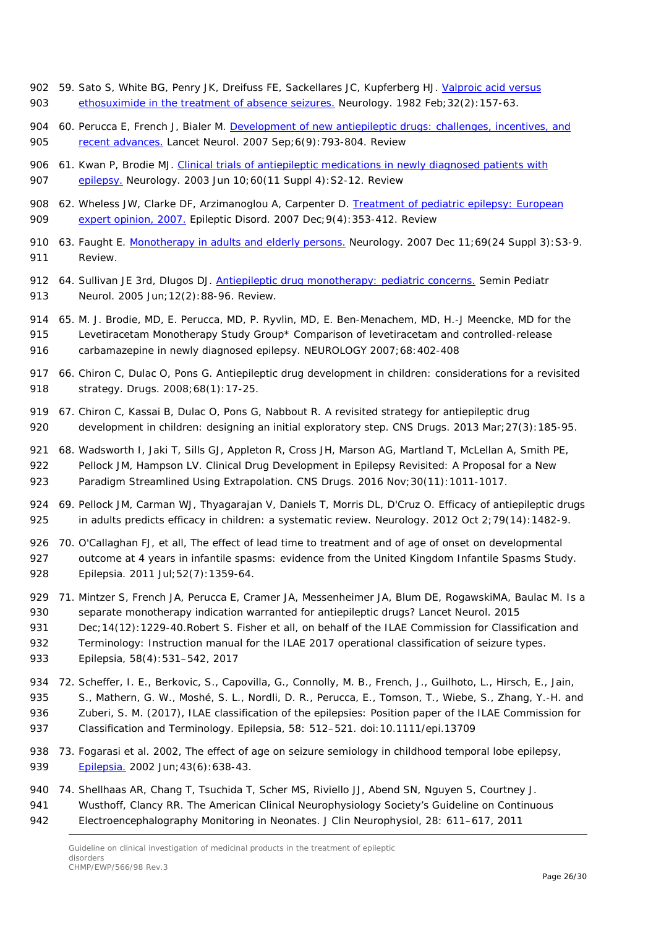- 902 59. Sato S, White BG, Penry JK, Dreifuss FE, Sackellares JC, Kupferberg HJ. Valproic acid versus 903 [ethosuximide in the treatment of absence seizures.](http://www.ncbi.nlm.nih.gov/pubmed/6798490?ordinalpos=1&itool=EntrezSystem2.PEntrez.Pubmed.Pubmed_ResultsPanel.Pubmed_DefaultReportPanel.Pubmed_RVDocSum) Neurology. 1982 Feb; 32(2): 157-63.
- 904 60. Perucca E, French J, Bialer M. Development of new antiepileptic drugs: challenges, incentives, and 905 [recent advances.](http://www.ncbi.nlm.nih.gov/pubmed/17706563?ordinalpos=5&itool=EntrezSystem2.PEntrez.Pubmed.Pubmed_ResultsPanel.Pubmed_DefaultReportPanel.Pubmed_RVDocSum) Lancet Neurol. 2007 Sep; 6(9): 793-804. Review
- 906 61. Kwan P, Brodie MJ. Clinical trials of antiepileptic medications in newly diagnosed patients with 907 [epilepsy.](http://www.ncbi.nlm.nih.gov/pubmed/12796516?ordinalpos=3&itool=EntrezSystem2.PEntrez.Pubmed.Pubmed_ResultsPanel.Pubmed_DefaultReportPanel.Pubmed_RVDocSum) Neurology. 2003 Jun 10;60(11 Suppl 4):S2-12. Review
- 908 62. Wheless JW, Clarke DF, Arzimanoglou A, Carpenter D. [Treatment of pediatric epilepsy: European](http://www.ncbi.nlm.nih.gov/pubmed/18077226?ordinalpos=3&itool=EntrezSystem2.PEntrez.Pubmed.Pubmed_ResultsPanel.Pubmed_DefaultReportPanel.Pubmed_RVDocSum)  909 [expert opinion, 2007.](http://www.ncbi.nlm.nih.gov/pubmed/18077226?ordinalpos=3&itool=EntrezSystem2.PEntrez.Pubmed.Pubmed_ResultsPanel.Pubmed_DefaultReportPanel.Pubmed_RVDocSum) Epileptic Disord. 2007 Dec;9(4):353-412. Review
- 910 63. Faught E. [Monotherapy in adults and elderly persons.](http://www.ncbi.nlm.nih.gov/pubmed/18071156?ordinalpos=3&itool=EntrezSystem2.PEntrez.Pubmed.Pubmed_ResultsPanel.Pubmed_DefaultReportPanel.Pubmed_RVDocSum) Neurology. 2007 Dec 11;69(24 Suppl 3): S3-9. 911 Review.
- 912 64. Sullivan JE 3rd, Dlugos DJ. [Antiepileptic drug monotherapy: pediatric concerns.](http://www.ncbi.nlm.nih.gov/pubmed/16114174?ordinalpos=2&itool=EntrezSystem2.PEntrez.Pubmed.Pubmed_ResultsPanel.Pubmed_DefaultReportPanel.Pubmed_RVDocSum) Semin Pediatr 913 Neurol. 2005 Jun;12(2):88-96. Review.
- 914 65. M. J. Brodie, MD, E. Perucca, MD, P. Ryvlin, MD, E. Ben-Menachem, MD, H.-J Meencke, MD for the 915 Levetiracetam Monotherapy Study Group\* Comparison of levetiracetam and controlled-release 916 carbamazepine in newly diagnosed epilepsy. NEUROLOGY 2007;68:402-408
- 917 66. Chiron C, Dulac O, Pons G. Antiepileptic drug development in children: considerations for a revisited 918 strategy. Drugs. 2008;68(1):17-25.
- 919 67. Chiron C, Kassai B, Dulac O, Pons G, Nabbout R. A revisited strategy for antiepileptic drug 920 development in children: designing an initial exploratory step. CNS Drugs. 2013 Mar;27(3):185-95.
- 921 68. Wadsworth I, Jaki T, Sills GJ, Appleton R, Cross JH, Marson AG, Martland T, McLellan A, Smith PE,
- 922 Pellock JM, Hampson LV. Clinical Drug Development in Epilepsy Revisited: A Proposal for a New 923 Paradigm Streamlined Using Extrapolation. CNS Drugs. 2016 Nov; 30(11): 1011-1017.
- 924 69. Pellock JM, Carman WJ, Thyagarajan V, Daniels T, Morris DL, D'Cruz O. Efficacy of antiepileptic drugs
- 925 in adults predicts efficacy in children: a systematic review. Neurology. 2012 Oct 2;79(14): 1482-9.
- 926 70. O'Callaghan FJ, et all, The effect of lead time to treatment and of age of onset on developmental 927 outcome at 4 years in infantile spasms: evidence from the United Kingdom Infantile Spasms Study. 928 Epilepsia. 2011 Jul;52(7):1359-64.
- 929 71. Mintzer S, French JA, Perucca E, Cramer JA, Messenheimer JA, Blum DE, RogawskiMA, Baulac M. Is a 930 separate monotherapy indication warranted for antiepileptic drugs? Lancet Neurol. 2015
- 931 Dec;14(12):1229-40.Robert S. Fisher et all, on behalf of the ILAE Commission for Classification and
- 932 Terminology: Instruction manual for the ILAE 2017 operational classification of seizure types.
- 933 Epilepsia, 58(4):531–542, 2017
- 934 72. Scheffer, I. E., Berkovic, S., Capovilla, G., Connolly, M. B., French, J., Guilhoto, L., Hirsch, E., Jain, 935 S., Mathern, G. W., Moshé, S. L., Nordli, D. R., Perucca, E., Tomson, T., Wiebe, S., Zhang, Y.-H. and 936 Zuberi, S. M. (2017), ILAE classification of the epilepsies: Position paper of the ILAE Commission for 937 Classification and Terminology. Epilepsia, 58: 512–521. doi:10.1111/epi.13709
- 938 73. Fogarasi et al. 2002, The effect of age on seizure semiology in childhood temporal lobe epilepsy, 939 [Epilepsia.](https://www.ncbi.nlm.nih.gov/pubmed/?term=Fogarasi+AND+2002+AND+epilepsy) 2002 Jun;43(6):638-43.
- 940 74. Shellhaas AR, Chang T, Tsuchida T, Scher MS, Riviello JJ, Abend SN, Nguyen S, Courtney J.
- 941 Wusthoff, Clancy RR. The American Clinical Neurophysiology Society's Guideline on Continuous
- 942 Electroencephalography Monitoring in Neonates. J Clin Neurophysiol, 28: 611–617, 2011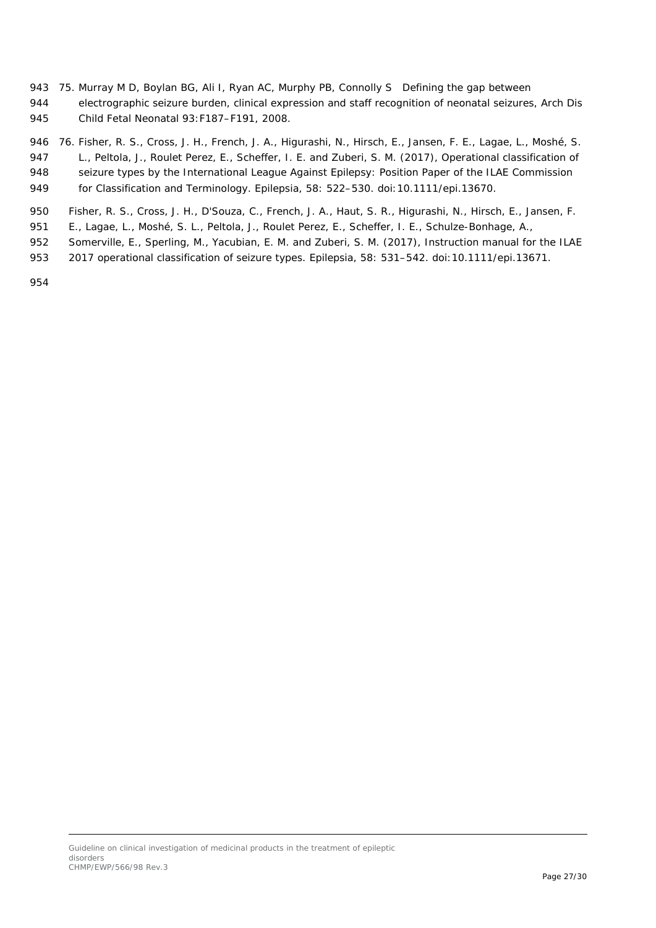- 943 75. Murray M D, Boylan BG, Ali I, Ryan AC, Murphy PB, Connolly S Defining the gap between 944 electrographic seizure burden, clinical expression and staff recognition of neonatal seizures, Arch Dis
- 945 Child Fetal Neonatal 93:F187–F191, 2008.

 76. Fisher, R. S., Cross, J. H., French, J. A., Higurashi, N., Hirsch, E., Jansen, F. E., Lagae, L., Moshé, S. L., Peltola, J., Roulet Perez, E., Scheffer, I. E. and Zuberi, S. M. (2017), Operational classification of 948 seizure types by the International League Against Epilepsy: Position Paper of the ILAE Commission for Classification and Terminology. Epilepsia, 58: 522–530. doi:10.1111/epi.13670.

- 950 Fisher, R. S., Cross, J. H., D'Souza, C., French, J. A., Haut, S. R., Higurashi, N., Hirsch, E., Jansen, F.
- 951 E., Lagae, L., Moshé, S. L., Peltola, J., Roulet Perez, E., Scheffer, I. E., Schulze-Bonhage, A.,
- 952 Somerville, E., Sperling, M., Yacubian, E. M. and Zuberi, S. M. (2017), Instruction manual for the ILAE
- 953 2017 operational classification of seizure types. Epilepsia, 58: 531–542. doi:10.1111/epi.13671.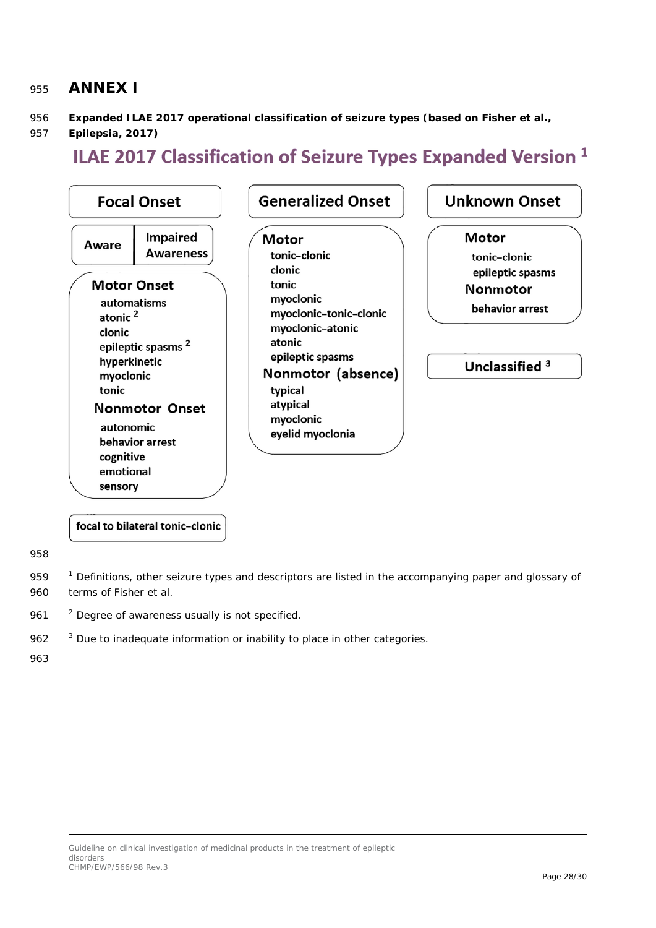### <span id="page-27-0"></span><sup>955</sup> **ANNEX I**

- 956 **Expanded ILAE 2017 operational classification of seizure types (based on Fisher et al.,**
- 957 **Epilepsia, 2017)**

# ILAE 2017 Classification of Seizure Types Expanded Version<sup>1</sup>



focal to bilateral tonic-clonic

958

959 <sup>1</sup> Definitions, other seizure types and descriptors are listed in the accompanying paper and glossary of 960 terms of Fisher et al.

961 <sup>2</sup> Degree of awareness usually is not specified.

 $353$  Due to inadequate information or inability to place in other categories.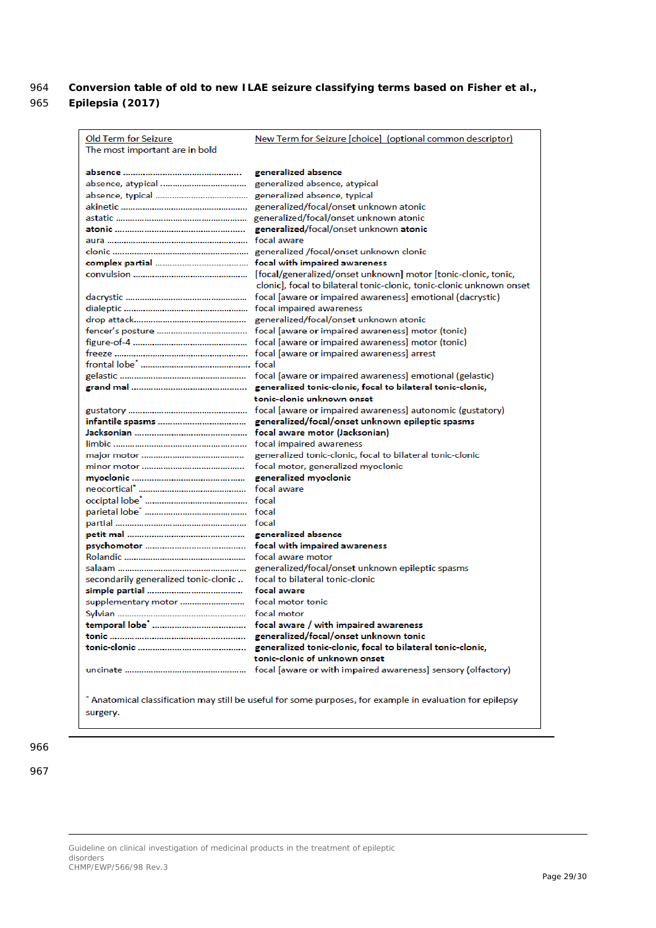#### 964 **Conversion table of old to new ILAE seizure classifying terms based on Fisher et al.,**  965 **Epilepsia (2017)**

| Old Term for Seizure<br>The most important are in bold | New Term for Seizure [choice] (optional common descriptor)                                                                                                                                                                                                                                                                                          |
|--------------------------------------------------------|-----------------------------------------------------------------------------------------------------------------------------------------------------------------------------------------------------------------------------------------------------------------------------------------------------------------------------------------------------|
|                                                        | generalized absence<br>generalized absence, atypical<br>generalized absence, typical<br>generalized/focal/onset unknown atonic<br>generalized/focal/onset unknown atonic<br>generalized/focal/onset unknown atonic<br>focal aware                                                                                                                   |
|                                                        | generalized /focal/onset unknown clonic<br>focal with impaired awareness<br>[focal/generalized/onset unknown] motor [tonic-clonic, tonic,<br>clonic], focal to bilateral tonic-clonic, tonic-clonic unknown onset                                                                                                                                   |
|                                                        | focal [aware or impaired awareness] emotional (dacrystic)<br>focal impaired awareness<br>generalized/focal/onset unknown atonic<br>focal [aware or impaired awareness] motor (tonic)<br>focal [aware or impaired awareness] motor (tonic)<br>focal [aware or impaired awareness] arrest<br>focal [aware or impaired awareness] emotional (gelastic) |
|                                                        | generalized tonic-clonic, focal to bilateral tonic-clonic,<br>tonic-clonic unknown onset<br>focal [aware or impaired awareness] autonomic (gustatory)<br>generalized/focal/onset unknown epileptic spasms                                                                                                                                           |
|                                                        | focal aware motor (Jacksonian)<br>focal impaired awareness<br>generalized tonic-clonic, focal to bilateral tonic-clonic<br>focal motor, generalized myoclonic<br>generalized myoclonic<br>focal aware                                                                                                                                               |
| secondarily generalized tonic-clonic                   | focal<br>generalized absence<br>focal with impaired awareness<br>focal aware motor<br>generalized/focal/onset unknown epileptic spasms<br>focal to bilateral tonic-clonic<br>focal aware                                                                                                                                                            |
| supplementary motor                                    | focal motor tonic<br>focal motor<br>focal aware / with impaired awareness<br>generalized/focal/onset unknown tonic<br>generalized tonic-clonic, focal to bilateral tonic-clonic,<br>tonic-clonic of unknown onset<br>focal [aware or with impaired awareness] sensory (olfactory)                                                                   |
| surgery.                                               | Anatomical classification may still be useful for some purposes, for example in evaluation for epilepsy *                                                                                                                                                                                                                                           |

966